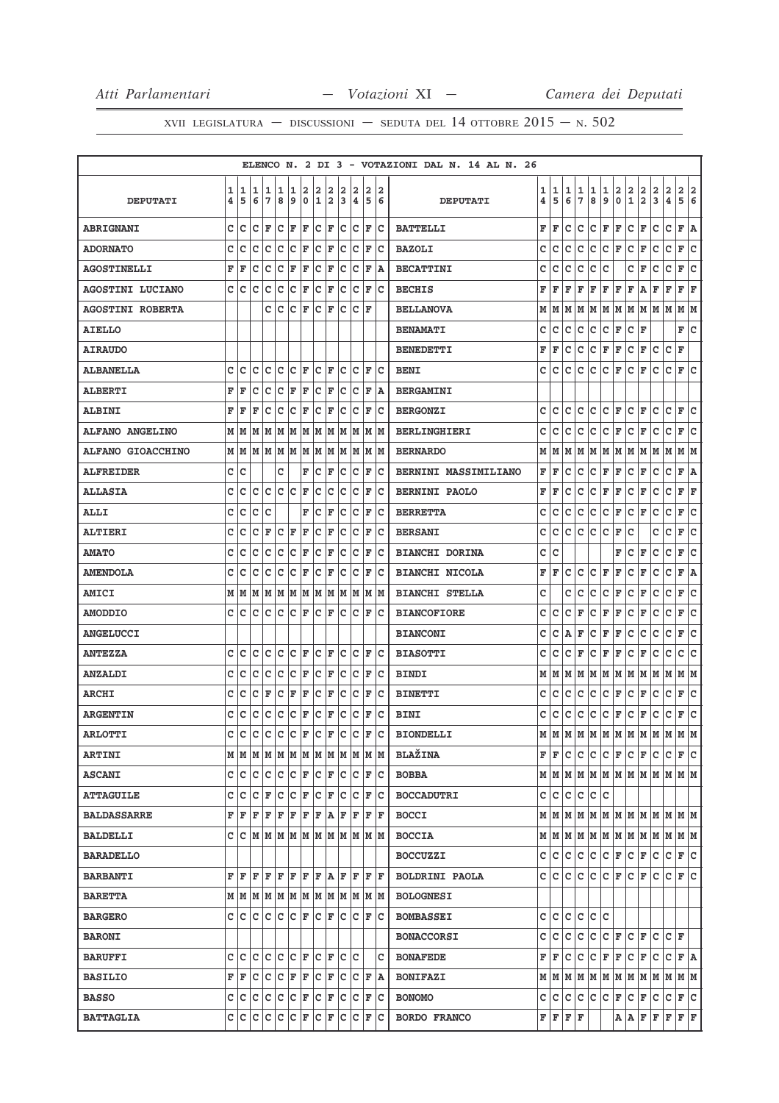|                         |        |        |        |                                    |        |        |                  |            |        |        |        |        |        | ELENCO N. 2 DI 3 - VOTAZIONI DAL N. 14 AL N. 26 |        |           |        |        |                                                                             |                      |         |                            |                   |        |                       |         |        |
|-------------------------|--------|--------|--------|------------------------------------|--------|--------|------------------|------------|--------|--------|--------|--------|--------|-------------------------------------------------|--------|-----------|--------|--------|-----------------------------------------------------------------------------|----------------------|---------|----------------------------|-------------------|--------|-----------------------|---------|--------|
| <b>DEPUTATI</b>         | 1<br>4 | 1<br>5 | 1<br>6 | 1<br>7                             | 1<br>8 | 1<br>9 | 2<br>$\mathbf 0$ | 2<br>1     | 2<br>2 | 2<br>3 | 2<br>4 | 2<br>5 | 2<br>6 | <b>DEPUTATI</b>                                 | 1<br>4 | 1<br>5    | 1<br>6 | 1<br>7 | 1<br>8                                                                      | 1<br>9               | 2<br>0  | 2<br>1                     | 2<br>$\mathbf{2}$ | 2<br>3 | 2<br>4                | 2<br>5  | 2<br>6 |
| <b>ABRIGNANI</b>        | с      | c      | c      | F                                  | c      | F      | F                | c          | F      | c      | c      | F      | Iс     | <b>BATTELLI</b>                                 | F      | F         | c      | с      | c                                                                           | F                    | F       | c                          | F                 | c      | с                     | F       | A      |
| <b>ADORNATO</b>         | c      | c      | c      | с                                  | c      | c      | F                | c          | F      | c      | c      | F      | c      | <b>BAZOLI</b>                                   | с      | C         | c      | C      | c                                                                           | с                    | F       | с                          | F                 | c      | с                     | F       | c      |
| <b>AGOSTINELLI</b>      | F      | ΙF     | c      | c                                  | C      | F      | F                | C          | F      | c      | c      | F      | ΙA     | <b>BECATTINI</b>                                | c      | C         | c      | c      | c                                                                           | с                    |         | c                          | F                 | c      | с                     | F       | C      |
| <b>AGOSTINI LUCIANO</b> | C      | Ιc     | c      | c                                  | c      | c      | F                | c          | F      | c      | c      | F      | Ιc     | <b>BECHIS</b>                                   | F      | F         | F      | F      | F                                                                           | F F                  |         | F                          | Α                 | F      | F                     | F       | F      |
| <b>AGOSTINI ROBERTA</b> |        |        |        | c                                  | c      | c      | F                | c          | F      | c      | c      | F      |        | <b>BELLANOVA</b>                                | М      | м         | м      | м      | М                                                                           | М                    | lм      | м                          | м                 | м      | м                     | М       | M      |
| <b>AIELLO</b>           |        |        |        |                                    |        |        |                  |            |        |        |        |        |        | <b>BENAMATI</b>                                 | с      | с         | с      | с      | с                                                                           | с                    | F       | c                          | F                 |        |                       | F       | lc.    |
| <b>AIRAUDO</b>          |        |        |        |                                    |        |        |                  |            |        |        |        |        |        | <b>BENEDETTI</b>                                | F      | F         | с      | c      | с                                                                           | F                    | F       | с                          | F                 | с      | c                     | F       |        |
| <b>ALBANELLA</b>        | c      | c      | c      | c                                  | c      | c      | F                | c          | F      | c      | c      | F      | Ιc     | <b>BENI</b>                                     | с      | с         | с      | с      | с                                                                           | с                    | F       | с                          | F                 | с      | c                     | F       | c      |
| <b>ALBERTI</b>          | F      | ΙF     | C      | c                                  | c      | F      | F                | c          | F      | c      | c      | F      | lA.    | <b>BERGAMINI</b>                                |        |           |        |        |                                                                             |                      |         |                            |                   |        |                       |         |        |
| <b>ALBINI</b>           | F      | F      | F      | c                                  | с      | с      | F                | с          | F      | c      | c      | F      | c      | <b>BERGONZI</b>                                 | с      | c         | c      | c      | с                                                                           | c                    | F       | с                          | F                 | c      | c                     | F       | с      |
| <b>ALFANO ANGELINO</b>  | М      | M      | M      | M                                  | M      | M      | M                | M          | M      | M      | M      | M      | lм     | <b>BERLINGHIERI</b>                             | с      | с         | с      | c      | с                                                                           | c                    | F       | с                          | F                 | с      | с                     | F       | c      |
| ALFANO GIOACCHINO       | М      | lМ     | M      | M                                  | lМ     | M      | M                | M          | M      | lм     | M      | lм     | M      | <b>BERNARDO</b>                                 | м      | м         | м      | м      | M                                                                           | м                    | lМ      | м                          | м                 | м      | м                     | м       | M      |
| <b>ALFREIDER</b>        | c      | c      |        |                                    | C      |        | F                | c          | F      | с      | с      | F      | c      | <b>BERNINI MASSIMILIANO</b>                     | F      | ΙF        | с      | с      | с                                                                           | F                    | F       | c                          | F                 | с      | с                     | F       | ١A     |
| <b>ALLASIA</b>          | с      | c      | с      | с                                  | c      | с      | F                | с          | с      | с      | с      | F      | c      | <b>BERNINI PAOLO</b>                            | F      | F         | с      | c      | с                                                                           | F                    | F       | с                          | F                 | с      | с                     | F       | F      |
| <b>ALLI</b>             | c      | c      | c      | c                                  |        |        | F                | c          | F      | c      | c      | F      | c      | <b>BERRETTA</b>                                 | с      | с         | с      | с      | с                                                                           | c                    | F       | с                          | F                 | с      | с                     | F       | c      |
| <b>ALTIERI</b>          | C      | c      | C      | F                                  | c      | F      | F                | c          | F      | c      | c      | F      | c      | <b>BERSANI</b>                                  | c      | с         | c      | с      | c                                                                           | c                    | F       | с                          |                   | c      | с                     | F       | C      |
| <b>AMATO</b>            | C      | c      | c      | с                                  | с      | с      | F                | с          | F      | c      | с      | F      | c      | <b>BIANCHI DORINA</b>                           | с      | C         |        |        |                                                                             |                      | F       | с                          | F                 | с      | c                     | F       | C      |
| <b>AMENDOLA</b>         | c      | c      | c      | c                                  | c      | c      | F                | c          | F      | c      | с      | F      | c      | <b>BIANCHI NICOLA</b>                           | F      | F         | c      | с      | c                                                                           | F                    | F       | с                          | F                 | с      | с                     | F       | A      |
| <b>AMICI</b>            | М      | M      | M      | M                                  | M      | M      | M                | M          | M      | M      | M      | M      | M      | <b>BIANCHI STELLA</b>                           | c      |           | c      | c      | с                                                                           | c                    | F       | с                          | ΙF                | c      | c                     | F       | C      |
| <b>AMODDIO</b>          | с      | c      | c      | с                                  | c      | c      | F                | с          | F      | c      | c      | F      | Iс     | <b>BIANCOFIORE</b>                              | с      | с         | с      | F      | с                                                                           | F                    | F       | с                          | F                 | с      | с                     | F       | c      |
| <b>ANGELUCCI</b>        |        |        |        |                                    |        |        |                  |            |        |        |        |        |        | <b>BIANCONI</b>                                 | с      | с         | Α      | F      | с                                                                           | F                    | F       | с                          | с                 | с      | с                     | F       | с      |
| <b>ANTEZZA</b>          | c      | C      | c      | c                                  | c      | c      | F                | C          | F      | c      | c      | F      | Ιc     | <b>BIASOTTI</b>                                 | с      | C         | с      | F      | с                                                                           | F                    | F       | с                          | F                 | с      | с                     | c       | c      |
| <b>ANZALDI</b>          | C      | c      | C      | C                                  | c      | C      | F                | C          | F      | c      | c      | F      | c      | <b>BINDI</b>                                    | М      | м         | М      | M      | M                                                                           | M  M                 |         | M                          | M                 | M      | M                     | M  M    |        |
| <b>ARCHI</b>            | c      | c      | с      | F                                  | с      | F      | F                | с          | F      | c      | с      | F      | c      | <b>BINETTI</b>                                  | с      | с         | с      | с      | с                                                                           | c                    | F       | с                          | F                 | с      | с                     | F       | c      |
| <b>ARGENTIN</b>         | с      | c      | c      | c                                  | c      | c      | F                | c          | F      | c      | с      | F      | c      | <b>BINI</b>                                     | с      | с         | с      | с      | c                                                                           | c                    | F       | с                          | F                 | с      | с                     | F       | c      |
| <b>ARLOTTI</b>          | C      | ١c     | c      | Iс                                 | c      | c      | F                | c          | F      | c      | c      | F      | c      | <b>BIONDELLI</b>                                | м      | lМ        | M      | M      | M                                                                           | м                    | M       | M                          | M                 | lм     | м                     | M       | M      |
| <b>ARTINI</b>           | м      |        | M M    | M M                                |        |        | MM               | MM         |        |        | MM     |        | M  M   | <b>BLAŽINA</b>                                  |        | FF        | с      | IC.    | lc.                                                                         |                      | C F C F |                            |                   | IС     | $ C $ $\mathbf{F} C $ |         |        |
| <b>ASCANI</b>           | c      | Ιc     | c      | c                                  | c      | c      | F                | c          | F      | Iс     | lc.    | F      | Ιc     | <b>BOBBA</b>                                    |        |           |        |        | $M$   $M$   $M$   $M$   $M$   $M$   $M$   $M$   $M$   $M$   $M$   $M$   $M$ |                      |         |                            |                   |        |                       |         |        |
| <b>ATTAGUILE</b>        | c      | c      | c      | F                                  | c      | c      | F                | c          | F      | c      | c      | F      | Iс     | <b>BOCCADUTRI</b>                               |        | c c       | c.     |        | c c c                                                                       |                      |         |                            |                   |        |                       |         |        |
| <b>BALDASSARRE</b>      | F      | F      | F      | F                                  | F      | F      | F                | F A        |        | F      | F      |        | F F    | <b>BOCCI</b>                                    |        |           |        |        | $M$   $M$   $M$   $M$   $M$   $M$   $M$   $M$   $M$   $M$   $M$   $M$   $M$ |                      |         |                            |                   |        |                       |         |        |
| <b>BALDELLI</b>         | c      |        |        | C  M  M  M  M  M  M  M  M  M  M  M |        |        |                  |            |        |        |        |        |        | <b>BOCCIA</b>                                   |        |           |        |        | $M$   $M$   $M$   $M$   $M$   $M$   $M$   $M$   $M$   $M$   $M$   $M$   $M$ |                      |         |                            |                   |        |                       |         |        |
| <b>BARADELLO</b>        |        |        |        |                                    |        |        |                  |            |        |        |        |        |        | <b>BOCCUZZI</b>                                 |        | c c c     |        |        | c c                                                                         | $ {\bf C}  {\bf F} $ |         | $ C $ $\mathbf{F}$         |                   | c.     | с                     | F C     |        |
| <b>BARBANTI</b>         | F      | F      | F      | F                                  | ΙF     | F      | F                | F          | lA.    | F      | F      | F      | ΙF     | <b>BOLDRINI PAOLA</b>                           |        | c Ic      | lc.    | lc.    | lc.                                                                         | C F                  |         | CF                         |                   | c      | c                     | F C     |        |
| <b>BARETTA</b>          | М      |        | MM     | M M                                |        |        | MM               | M  M  M  M |        |        |        |        | M M    | <b>BOLOGNESI</b>                                |        |           |        |        |                                                                             |                      |         |                            |                   |        |                       |         |        |
| <b>BARGERO</b>          | C      | c      | c      | c                                  | c      | c      | F                | c          | F      | c      | c      | F      | Ιc     | <b>BOMBASSEI</b>                                |        | C C       | c      | c      | c c                                                                         |                      |         |                            |                   |        |                       |         |        |
| <b>BARONI</b>           |        |        |        |                                    |        |        |                  |            |        |        |        |        |        | <b>BONACCORSI</b>                               | c      | lc.       | c.     | c      | c                                                                           | $ {\bf C}  {\bf F} $ |         | $ C $ $\mathbf{F}$         |                   | lc.    | C F                   |         |        |
| <b>BARUFFI</b>          | c      | Iс     | Iс     | lc.                                | Ιc     |        | C F              | C F        |        | C      | lc.    |        | c      | <b>BONAFEDE</b>                                 |        | FF        | c      | c      | c.                                                                          | F F                  |         | $ C $ $\mathbf{F}$         |                   | с      | c                     | F A     |        |
| <b>BASILIO</b>          | F      | F      | c      | Iс                                 | Iс     | F      | F                | c          | F      | c      | lc.    | F      | ١A     | <b>BONIFAZI</b>                                 |        |           |        |        | $M$   $M$   $M$   $M$   $M$   $M$   $M$   $M$   $M$   $M$   $M$   $M$       |                      |         |                            |                   |        |                       |         |        |
| <b>BASSO</b>            | c      | lc.    | c      | c                                  | c      | c      | F                | c          | F      | c      | c      | F      | Iс     | <b>BONOMO</b>                                   |        | c c c c c |        |        |                                                                             | $ c $ F              |         | $ {\tt C} \,  $ $\bf F \,$ |                   | c      | c                     | F C     |        |
| <b>BATTAGLIA</b>        | с      | IС     | c      | с                                  | c      | Iс     | F                | c          | F      | c      | lc.    | F      | Ιc     | <b>BORDO FRANCO</b>                             |        | F F F F   |        |        |                                                                             |                      |         |                            | A   A   F   F   F |        |                       | $F$ $F$ |        |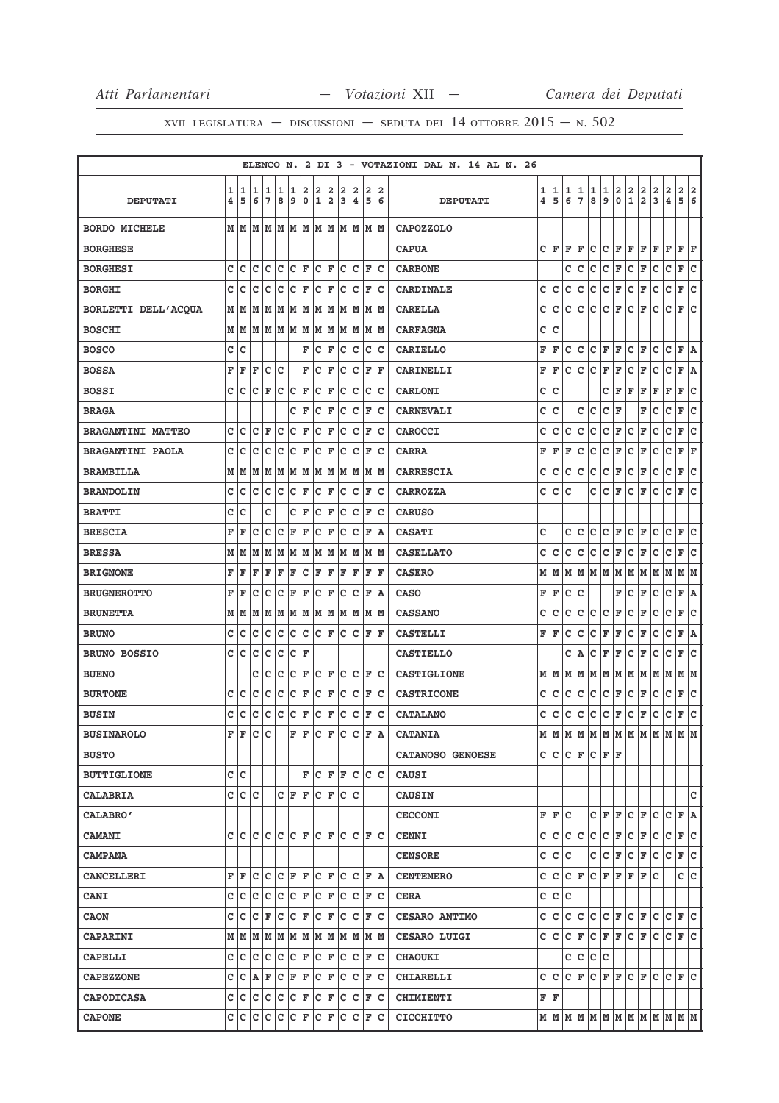|                          |        |        |                         |        |             |         |                  |                  |                              |        |                |         |        | ELENCO N. 2 DI 3 - VOTAZIONI DAL N. 14 AL N. 26 |                              |        |              |                    |              |               |                            |                            |                                        |               |                                                                             |                              |              |
|--------------------------|--------|--------|-------------------------|--------|-------------|---------|------------------|------------------|------------------------------|--------|----------------|---------|--------|-------------------------------------------------|------------------------------|--------|--------------|--------------------|--------------|---------------|----------------------------|----------------------------|----------------------------------------|---------------|-----------------------------------------------------------------------------|------------------------------|--------------|
| <b>DEPUTATI</b>          | 1<br>4 | 1<br>5 | 1<br>6                  | 1<br>7 | 1<br>8      | 1<br>وا | 2<br>$\mathbf 0$ | 2<br>$\mathbf 1$ | 2<br>$\overline{\mathbf{2}}$ | 2<br>3 | 2<br>$\pmb{4}$ | 2<br>5  | 2<br>6 | <b>DEPUTATI</b>                                 | 1<br>$\overline{\mathbf{4}}$ | 1<br>5 | 1<br>6       | $\frac{1}{7}$      | 1<br>8       | $\frac{1}{9}$ | $\mathbf 2$<br>$\mathbf 0$ | $\frac{2}{1}$              | $\overline{\mathbf{2}}$<br>$\mathbf 2$ | $\frac{2}{3}$ | $\mathbf 2$<br>$\pmb{4}$                                                    | $\overline{\mathbf{2}}$<br>5 | 2<br>6       |
| <b>BORDO MICHELE</b>     |        | МИ     | M                       | M      | lм          | M       | M                | MM               |                              |        |                | M M M M |        | <b>CAPOZZOLO</b>                                |                              |        |              |                    |              |               |                            |                            |                                        |               |                                                                             |                              |              |
| <b>BORGHESE</b>          |        |        |                         |        |             |         |                  |                  |                              |        |                |         |        | <b>CAPUA</b>                                    | c                            | F      | F            | F                  | c            | c             | $\mathbf{F}$               | F                          | F                                      | F             | F                                                                           | F F                          |              |
| <b>BORGHESI</b>          | C      | c      | c                       | c      | c           | c       | ΙF               | c                | ΙF                           | c      | Ιc             | F       | lc     | <b>CARBONE</b>                                  |                              |        | c            | c                  | c            | c             | F                          | c                          | F                                      | с             | c                                                                           | F                            | c            |
| <b>BORGHI</b>            | c      | c      | c                       | lc     | lc.         | c       | F                | C                | F                            | C      | lc             | F       | Ιc     | <b>CARDINALE</b>                                | c                            | c      | c            | с                  | c            | C F           |                            | c                          | F                                      | c             | $\mathtt{C}$                                                                | F                            | c            |
| BORLETTI DELL'ACQUA      | M      | M      | M                       | M      | M           | M       | M                | M                | M                            | M      | M              | M       | M      | <b>CARELLA</b>                                  | c                            | с      | с            | c                  | с            | c             | F                          | c                          | F                                      | c             | c                                                                           | F                            | C            |
| <b>BOSCHI</b>            | M      | M      | M                       | M      | M           | M       | M                | M                | M                            | M      | M              | M       | lм     | <b>CARFAGNA</b>                                 | c                            | C      |              |                    |              |               |                            |                            |                                        |               |                                                                             |                              |              |
| <b>BOSCO</b>             | c      | c      |                         |        |             |         | F                | с                | F                            | c      | c              | C       | c      | <b>CARIELLO</b>                                 | F                            | F      | c            | c                  | c            | F             | F                          | c                          | F                                      | c             | $\mathtt{C}$                                                                | F                            | A            |
| <b>BOSSA</b>             | F      | F      | F                       | c      | $\mathbf C$ |         | F                | c                | F                            | C      | c              | F       | l F    | CARINELLI                                       | F                            | F      | C            | $\mathtt{C}$       | $\mathtt{C}$ | F             | F                          | c                          | F                                      | C             | $\mathbf{C}$                                                                | F                            | A            |
| <b>BOSSI</b>             | c      | c      | c                       | F      | c           | Ιc      | F                | c                | F                            | c      | Ιc             | c       | Ιc     | <b>CARLONI</b>                                  | c                            | с      |              |                    |              | c             | F                          | F                          | F                                      | F             | F                                                                           | F                            | c            |
| <b>BRAGA</b>             |        |        |                         |        |             | c       | F                | c                | F                            | c      | c              | F       | Ιc     | <b>CARNEVALI</b>                                | c                            | c      |              | c                  | C            | c             | F                          |                            | F                                      | c             | c                                                                           | F                            | C            |
| <b>BRAGANTINI MATTEO</b> | c      | c      | C                       | F      | lc.         | C       | F                | c                | F                            | C      | lc.            | F       | Iс     | <b>CAROCCI</b>                                  | с                            | с      | c            | $\mathbf C$        | c            | c             | F                          | c                          | F                                      | c             | c                                                                           | F                            | lc           |
| <b>BRAGANTINI PAOLA</b>  | c      | с      | с                       | c      | C           | c       | F                | c                | F                            | c      | c              | F       | Iс     | <b>CARRA</b>                                    | F                            | F      | F            | с                  | с            | c             | F                          | c                          | F                                      | c             | c                                                                           | F                            | F            |
| <b>BRAMBILLA</b>         | M      | M      | M                       | M      | M           | M       | M                | M                | M                            | M      | M              | M       | lм     | <b>CARRESCIA</b>                                | с                            | с      | с            | $\mathbf C$        | C            | c             | F                          | c                          | F                                      | c             | c                                                                           | F                            | c            |
| <b>BRANDOLIN</b>         | C      | C      | C                       | C      | $\mathbf C$ | C       | F                | C                | F                            | C      | c              | F       | lc     | <b>CARROZZA</b>                                 | C                            | C      | C            |                    | C            | c             | F                          | $\mathtt{C}$               | F                                      | c             | C                                                                           | F                            | $\mathbf{C}$ |
| <b>BRATTI</b>            | c      | c      |                         | c      |             | c       | F                | c                | F                            | c      | c              | F       | Ιc     | <b>CARUSO</b>                                   |                              |        |              |                    |              |               |                            |                            |                                        |               |                                                                             |                              |              |
| <b>BRESCIA</b>           | F      | F      | с                       | c      | c           | F       | F                | c                | F                            | c      | c              | F       | lA.    | <b>CASATI</b>                                   | c                            |        | c            | c                  | c            | c             | F                          | c                          | F                                      | с             | c                                                                           | F                            | lc.          |
| <b>BRESSA</b>            | М      | M      | М                       | M      | M           | M       | M                | M                | M                            | M      | M              | M       | M      | <b>CASELLATO</b>                                | c                            | c      | c            | c                  | c            | c             | F                          | c                          | F                                      | c             | c                                                                           | F                            | c            |
| <b>BRIGNONE</b>          | F      | F      | $\overline{\mathbf{F}}$ | F      | F           | F       | C                | F                | F                            | F      | F              | F       | F      | <b>CASERO</b>                                   | М                            | М      | М            | м                  | M            | M             | M                          | М                          | М                                      | M             | М                                                                           | MM                           |              |
| <b>BRUGNEROTTO</b>       | F      | F      | c                       | c      | c           | F       | F                | c                | F                            | c      | c              | F       | lA.    | <b>CASO</b>                                     | F                            | F      | c            | C                  |              |               | F                          | c                          | F                                      | c             | c                                                                           | F                            | A            |
| <b>BRUNETTA</b>          | Μ      | М      | М                       | M      | M           | M       | M                | M                | M                            | M      | M              | M       | M      | <b>CASSANO</b>                                  | с                            | c      | c            | с                  | c            | с             | F                          | c                          | F                                      | c             | $\mathbf C$                                                                 | F                            | C            |
| <b>BRUNO</b>             | c      | C      | C                       | C      | C           | C       | C                | lc.              | F                            | C      | lc             | F       | lF.    | <b>CASTELLI</b>                                 | F                            | F      | C            | c                  | C            | F             | F                          | $\mathtt{C}$               | F                                      | C             | C                                                                           | F                            | A            |
| <b>BRUNO BOSSIO</b>      | c      | C      | C                       | c      | C           | c       | F                |                  |                              |        |                |         |        | <b>CASTIELLO</b>                                |                              |        | c            | Α                  | c            | F             | F                          | c                          | F                                      | с             | c                                                                           | F                            | c            |
| <b>BUENO</b>             |        |        | с                       | c      | c           | c       | F                | c                | F                            | c      | Ιc             | F       | lc     | <b>CASTIGLIONE</b>                              | М                            | M      | M            | M                  | M            | MM            |                            |                            | MM                                     | MM            |                                                                             | MM                           |              |
| <b>BURTONE</b>           | c      | c      | c                       | c      | c           | c       | F                | c                | F                            | c      | c              | F       | Ιc     | <b>CASTRICONE</b>                               | с                            | с      | c            | c                  | c            | C F           |                            | c                          | F                                      | c             | $\mathtt{C}$                                                                | F                            | c            |
| <b>BUSIN</b>             | C      | c      | c                       | c      | c           | c       | F                | с                | F                            | C      | c              | F       | Ιc     | <b>CATALANO</b>                                 | с                            | с      | $\mathtt{C}$ | $\mathbf C$        | C            | c             | F                          | c                          | F                                      | c             | с                                                                           | F                            | c            |
| <b>BUSINAROLO</b>        | F      | F      | c                       | Ιc     |             | F       | F                | c                | F                            | c      | c              | F       | lA.    | <b>CATANIA</b>                                  | М                            | M      | M            | М                  | M            | M             | lм                         | M                          | lм                                     | M             | М                                                                           | M                            | M            |
| <b>BUSTO</b>             |        |        |                         |        |             |         |                  |                  |                              |        |                |         |        | CATANOSO GENOESE                                |                              | C C    |              | $ C $ $\mathbf{F}$ |              | C F F         |                            |                            |                                        |               |                                                                             |                              |              |
| <b>BUTTIGLIONE</b>       | c      | lc     |                         |        |             |         | F                | lc.              | F                            | F      | Iс             | c       | lc     | <b>CAUSI</b>                                    |                              |        |              |                    |              |               |                            |                            |                                        |               |                                                                             |                              |              |
| <b>CALABRIA</b>          | c      | c      | lc                      |        | c           | lF      | ΙF               | c                | ΙF                           | c      | lc             |         |        | <b>CAUSIN</b>                                   |                              |        |              |                    |              |               |                            |                            |                                        |               |                                                                             |                              | c            |
| CALABRO'                 |        |        |                         |        |             |         |                  |                  |                              |        |                |         |        | <b>CECCONI</b>                                  |                              | FF     | c            |                    |              | C F F         |                            | C F                        |                                        | c             | c                                                                           | F A                          |              |
| <b>CAMANI</b>            | c      | lc.    | c                       | c      | c           | lc.     | ΙF               | c                | F                            | c      | Ιc             | F       | lc.    | <b>CENNI</b>                                    | с                            | с      | с            | c                  | c            | C F           |                            | CF                         |                                        | с             | с                                                                           | F                            | c            |
| <b>CAMPANA</b>           |        |        |                         |        |             |         |                  |                  |                              |        |                |         |        | <b>CENSORE</b>                                  | с                            | с      | c            |                    | с            | C F           |                            | $ C $ F                    |                                        | с             | c                                                                           | F C                          |              |
| <b>CANCELLERI</b>        | F      | F      | c                       | c      | c           | F       | ΙF               | c                | ΙF                           | c      | Ιc             | F       | ١A.    | <b>CENTEMERO</b>                                | c                            | с      | c            | F                  | c            | F F           |                            | F                          | F                                      | c             |                                                                             | c c                          |              |
| <b>CANI</b>              | c      | c      | c                       | c      | c           | c       | F                | c                | F                            | c      | Iс             | F       | Iс     | <b>CERA</b>                                     | c                            | c      | c            |                    |              |               |                            |                            |                                        |               |                                                                             |                              |              |
| <b>CAON</b>              | c      | с      | с                       | F      | c           | c       | F                | c                | F                            | с      | Ιc             | F       | Iс     | CESARO ANTIMO                                   | c                            | с      | c            | с                  | c            | C F           |                            | CF                         |                                        | c             | c                                                                           | F                            | lc.          |
| CAPARINI                 | М      | lМ     | lм                      | M      | M           | M       | M                | M                | M                            | M      | M              |         | M M    | CESARO LUIGI                                    | c                            | lc.    | c            | F                  | lc.          | F F           |                            | $ C $ F                    |                                        | lc.           | c                                                                           | F C                          |              |
| <b>CAPELLI</b>           | c      | c      | lc.                     | c      | c           | c       | F                | с                | F                            | с      | c              | F       | Iс     | <b>CHAOUKI</b>                                  |                              |        | с            | c                  | c            | с             |                            |                            |                                        |               |                                                                             |                              |              |
| <b>CAPEZZONE</b>         | c      | c      | A                       | F      | c           | F       | F                | c                | F                            | с      | Iс             | F       | ΙC     | <b>CHIARELLI</b>                                | c                            | c      | c            | F                  | c            | FF            |                            | $ {\tt C} \,  $ $\bf F \,$ |                                        | c             | c                                                                           | lF.                          | lc.          |
| CAPODICASA               | c      | Iс     | Ιc                      | Iс     | с           | Iс      | F                | с                | F                            | c      | c              | F       | Iс     | <b>CHIMIENTI</b>                                | F F                          |        |              |                    |              |               |                            |                            |                                        |               |                                                                             |                              |              |
| <b>CAPONE</b>            | c      | Iс     | c                       | Iс     | c           | c       | F                | c                | F                            | c      | c              | F       | ∣c     | <b>CICCHITTO</b>                                |                              |        |              |                    |              |               |                            |                            |                                        |               | $M$   $M$   $M$   $M$   $M$   $M$   $M$   $M$   $M$   $M$   $M$   $M$   $M$ |                              |              |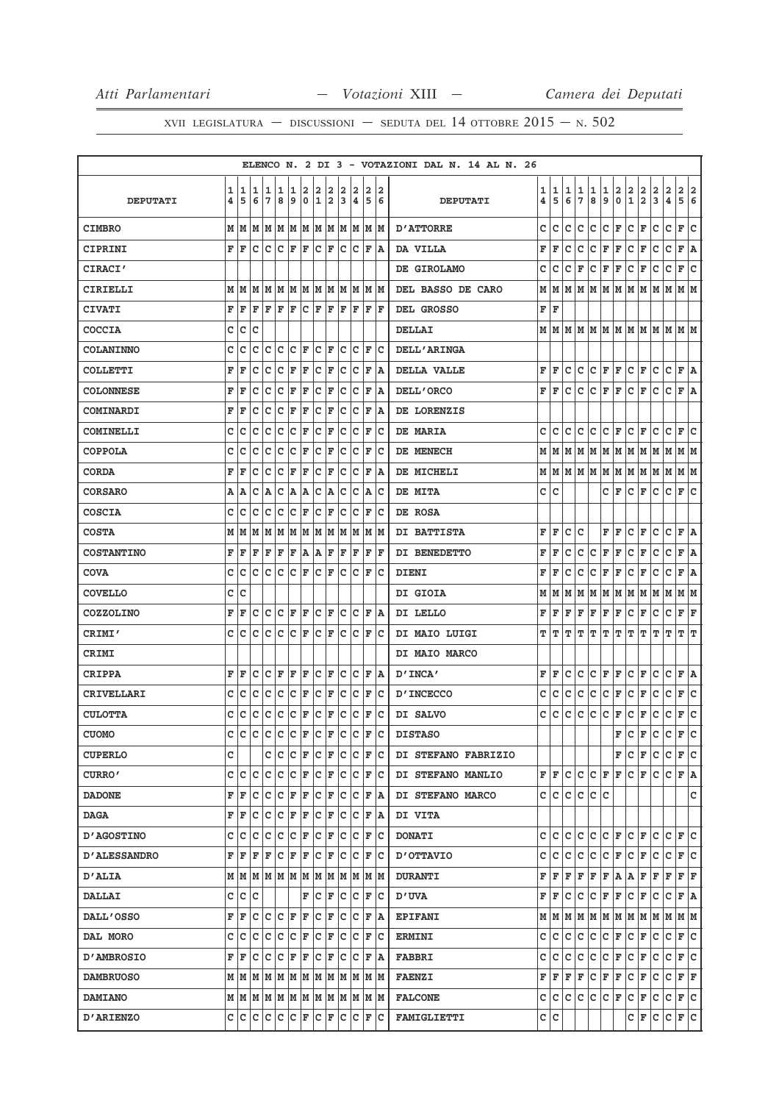|                     |   |                                                                       |     |                        |                    |                    |                         |                      |     |     |     |                    |       | ELENCO N. 2 DI 3 - VOTAZIONI DAL N. 14 AL N. 26 |   |           |   |     |       |                             |    |                              |              |     |                |              |     |
|---------------------|---|-----------------------------------------------------------------------|-----|------------------------|--------------------|--------------------|-------------------------|----------------------|-----|-----|-----|--------------------|-------|-------------------------------------------------|---|-----------|---|-----|-------|-----------------------------|----|------------------------------|--------------|-----|----------------|--------------|-----|
|                     | 1 | 1                                                                     | 1   | 1                      | 1                  | 1                  | $\overline{\mathbf{2}}$ | 2                    | 2   | 2   | 2   | 2                  | 2     |                                                 | 1 | 1         | 1 | 1   | 1     | 1                           | 2  | 2                            | 2            | 2   | $\overline{a}$ | $\mathbf{2}$ | 2   |
| <b>DEPUTATI</b>     | 4 | 5                                                                     | 6   | 17                     | 8                  | 9                  | $\mathbf 0$             | 1                    | 2   | 3   | 14  | 5                  | 6     | <b>DEPUTATI</b>                                 | 4 | 5         | 6 | 7   | 8     | 9                           | 0  | $\mathbf 1$                  | $\mathbf{2}$ | 3   | 4              | 5 6          |     |
| <b>CIMBRO</b>       |   | M M M                                                                 |     | MMMMMMM                |                    |                    |                         |                      |     |     | MM  |                    | M M   | <b>D'ATTORRE</b>                                | c | c         | c | c   | c     | c                           | F  | c                            | ΙF           | с   | c              | $\mathbf{F}$ | lc. |
| CIPRINI             |   | F F                                                                   | c   | $ C C $ $\mathbf{F}$   |                    |                    | lF.                     | $ {\bf C}  {\bf F} $ |     | lc. | lc. | F                  | ۱A    | DA VILLA                                        | F | F         | c | c   | c     | F                           | F  | c                            | F            | c   | c              | F A          |     |
| CIRACI'             |   |                                                                       |     |                        |                    |                    |                         |                      |     |     |     |                    |       | DE GIROLAMO                                     | с | c         | с | F   | с     | F                           | F  | с                            | F            | с   | с              | F            | c   |
| CIRIELLI            |   | MMMMMMMMMMMMMMM                                                       |     |                        |                    |                    |                         |                      |     |     |     |                    |       | DEL BASSO DE CARO                               |   | MM        |   |     |       | M  M  M  M  M  M  M         |    |                              |              | MM  |                | M  M         |     |
| <b>CIVATI</b>       | F | İF                                                                    | F   | F                      | ΙF                 | F                  | lc.                     | F                    | F   | F   | F   | F                  | lF.   | DEL GROSSO                                      | F | ΙF        |   |     |       |                             |    |                              |              |     |                |              |     |
| <b>COCCIA</b>       | c | lc                                                                    | c   |                        |                    |                    |                         |                      |     |     |     |                    |       | <b>DELLAI</b>                                   |   |           |   |     |       | MMMMMMMMMMMMMMM             |    |                              |              |     |                |              |     |
| <b>COLANINNO</b>    | c | c                                                                     | c   | Iс                     | Ιc                 | Iс                 | F                       | c                    | ΙF  | c   | Iс  | F                  | Iс    | <b>DELL'ARINGA</b>                              |   |           |   |     |       |                             |    |                              |              |     |                |              |     |
| <b>COLLETTI</b>     | F | l F                                                                   | c   | Ιc                     | lc                 | F                  | ΙF                      | c                    | F   | c   | Ιc  | F                  | lA.   | <b>DELLA VALLE</b>                              | F | F         | c | c   | lc.   | F F                         |    | с                            | F            | с   | c              | F A          |     |
| <b>COLONNESE</b>    | F | F                                                                     | c   | Iс                     | Ιc                 | F                  | F                       |                      | C F | c   | Iс  | F                  | ١A    | DELL'ORCO                                       | F | lF.       | с | c   | lc.   | F                           | F  | с                            | F            | c   | c              | F A          |     |
| COMINARDI           | F | ΙF                                                                    | с   | Iс                     | c                  | F                  | F                       | с                    | F   | с   | c   | F                  | ١A    | DE LORENZIS                                     |   |           |   |     |       |                             |    |                              |              |     |                |              |     |
| <b>COMINELLI</b>    | c | Ιc                                                                    | c   | Iс                     | lc                 | c                  | F                       | C                    | F   | с   | Ιc  | F                  | Iс    | DE MARIA                                        | c | lC.       | c | с   | lc.   | C F                         |    | с                            | F            | с   | c              | F C          |     |
| COPPOLA             | C | c                                                                     | c   | Ιc                     | c                  | c                  | F                       | c                    | F   | c   | c   | F                  | Ιc    | DE MENECH                                       | М | М         | M | M   | M     | M M                         |    | M                            | M            | M   | M              | M M          |     |
| <b>CORDA</b>        | F | F                                                                     | c   | lc                     | c                  | F                  | ΙF                      | C                    | ΙF  | c   | c   | F                  | ١A    | DE MICHELI                                      |   |           |   |     |       | $M$ $M$ $M$ $M$ $M$ $M$ $M$ |    | M M                          |              | MM  |                | M  M         |     |
| <b>CORSARO</b>      |   | A   A                                                                 | c   | A                      | Iс                 | A                  | A                       | с                    | A   | c   | Iс  | lA.                | Ιc    | DE MITA                                         | c | c         |   |     |       | c                           | F  | c                            | F            | c   | c              | F            | lc. |
| <b>COSCIA</b>       | C | lc                                                                    | c   | Iс                     | lc                 | Ιc                 | ΙF                      | c                    | F   | c   | c   | F                  | Ιc    | DE ROSA                                         |   |           |   |     |       |                             |    |                              |              |     |                |              |     |
| <b>COSTA</b>        |   | M   M   M                                                             |     | M  M  M  M  M  M  M  M |                    |                    |                         |                      |     |     |     |                    | M M   | DI BATTISTA                                     | F | F         | c | c   |       | F                           | ΙF | c                            | ΙF           | c   | c              | F A          |     |
| <b>COSTANTINO</b>   | F | l F                                                                   | F   | F                      | F                  | F                  | A                       | A                    | F   | F   | ΙF  | F                  | F     | DI BENEDETTO                                    | F | F         | с | с   | с     | F                           | F  | с                            | F            | с   | с              | F            | A   |
| COVA                | c | Ιc                                                                    | c   | lc                     | lc                 | Ιc                 | F                       | c                    | F   | Iс  | Ιc  | F                  | Iс    | DIENI                                           | F | F         | с | с   | с     | F                           | F  | с                            | F            | с   | $\mathbf C$    | F A          |     |
| <b>COVELLO</b>      | c | lc                                                                    |     |                        |                    |                    |                         |                      |     |     |     |                    |       | DI GIOIA                                        | М | M         | м | м   | M     | M                           | M  | M                            | M            | M   | M              | MM           |     |
| <b>COZZOLINO</b>    | F | l F                                                                   | c   | Iс                     | Ιc                 | F                  | F                       | с                    | ΙF  | c   | Iс  | F                  | ١A    | DI LELLO                                        | F | F         | F | F   | F     | F                           | F  | c                            | F            | с   | с              | F            | F   |
| CRIMI'              | c | lc                                                                    | с   | Iс                     | Ιc                 | Iс                 | F                       | lc.                  | F   | Iс  | Iс  | F                  | Ιc    | DI MAIO LUIGI                                   | т | т         | т | т   | т     | т                           | т  | т                            | T            | т   | т              | т            | ΙT  |
| CRIMI               |   |                                                                       |     |                        |                    |                    |                         |                      |     |     |     |                    |       | DI MAIO MARCO                                   |   |           |   |     |       |                             |    |                              |              |     |                |              |     |
| <b>CRIPPA</b>       | F | ١F                                                                    | Ιc  | $ C $ $\mathbf{F}$     |                    | F F                |                         |                      | C F | c   | Iс  | F                  | ΙA    | D'INCA'                                         | F | lF.       | c | с   | c     | F                           | F  | с                            | F            | с   | c              | F A          |     |
| CRIVELLARI          | c | Iс                                                                    | с   | Iс                     | c                  | c                  | F                       | c                    | F   | с   | c   | F                  | Iс    | <b>D'INCECCO</b>                                | с | с         | с | с   | с     | с                           | F  | с                            | F            | с   | с              | F            | c   |
| <b>CULOTTA</b>      | c | Ιc                                                                    | c   | c                      | c                  | c                  | F                       | c                    | F   | c   | c   | F                  | Ιc    | DI SALVO                                        | c | c         | с | с   | c     | c                           | F  | c                            | F            | с   | с              | F            | c   |
| <b>CUOMO</b>        | c | c                                                                     | lc. | c.                     | $ c c _F c$        |                    |                         |                      | F   | c   | c   | $\mathbf F$        | lc.   | <b>DISTASO</b>                                  |   |           |   |     |       |                             | F  | c                            | F            | c   | c              | F            | c   |
| <b>CUPERLO</b>      | c |                                                                       |     | c c                    |                    | $ C $ $\mathbf{F}$ |                         | $ C $ F              |     |     | c c |                    | F C   | DI STEFANO FABRIZIO                             |   |           |   |     |       |                             | F  | lc.                          | F            | с   | с              | F C          |     |
| CURRO'              |   | c  c                                                                  | lc. | C C C F                |                    |                    |                         | $ C $ $\mathbf{F}$   |     |     |     | C C F C            |       | DI STEFANO MANLIO                               |   |           |   |     |       | F F C C C F F               |    | $ {\tt C} \,  $ $\bf F \,$   |              | lc. | c              | F A          |     |
| <b>DADONE</b>       |   | F F                                                                   | lc. | Iс                     | $ C $ $\mathbf{F}$ |                    | F                       | $ {\tt C} \;  $ F    |     | с   | ΙC  | F                  | ١A    | DI STEFANO MARCO                                |   | c ic ic   |   | c   | lc Ic |                             |    |                              |              |     |                |              | c   |
| <b>DAGA</b>         |   | F  F                                                                  | Ιc  | C C F F                |                    |                    |                         | $ {\bf C}  {\bf F} $ |     | с   | Iс  | F                  | A     | DI VITA                                         |   |           |   |     |       |                             |    |                              |              |     |                |              |     |
| <b>D'AGOSTINO</b>   | c | lc                                                                    | c   | Iс                     | Iс                 | Ιc                 | F                       | c                    | F   | Iс  | Iс  | F                  | Iс    | <b>DONATI</b>                                   |   | c Ic      | c | с   | c     | C F                         |    | lc.                          | F            | с   | c              | F C          |     |
| <b>D'ALESSANDRO</b> |   | FF                                                                    | F   | F                      | c                  | F                  | F                       | c                    | F   | c   | Iс  | F                  | Ιc    | <b>D'OTTAVIO</b>                                | c | lc.       | c | lc. | c     | $ C $ F                     |    | $ C $ $\mathbf{F}$           |              | с   | c              | F C          |     |
| <b>D'ALIA</b>       |   |                                                                       |     |                        |                    |                    |                         |                      |     |     |     |                    |       | <b>DURANTI</b>                                  | F | F         | F |     |       | F F F A A F                 |    |                              |              | F   | F              | F F          |     |
| <b>DALLAI</b>       |   | c  c  c                                                               |     |                        |                    |                    | F                       | C F                  |     |     | c c | F                  | ΙC    | <b>D'UVA</b>                                    | F | F         | с | с   | c     | F                           | F  | c.                           | F            | с   | с              | F A          |     |
| <b>DALL'OSSO</b>    |   | ${\bf F}$ $\bf{F}$ $\bf{C}$ $\bf{C}$ $\bf{F}$ $\bf{F}$                |     |                        |                    |                    |                         | $ C $ F              |     |     | c c | F                  | ΙA    | <b>EPIFANI</b>                                  |   | M   M   M |   |     |       | M   M   M   M   M           |    |                              |              |     | M M M M        |              |     |
| DAL MORO            |   | c  c                                                                  | lc. | C C C F                |                    |                    |                         | $ {\bf C}  {\bf F} $ |     | с   | Iс  | F                  | ΙC    | <b>ERMINI</b>                                   | c | с         | с | с   | c     | с                           | F  | с                            | F            | с   | c              | F C          |     |
| <b>D'AMBROSIO</b>   |   | FF                                                                    |     | C C C F F              |                    |                    |                         | $ C $ F              |     |     | c c |                    | F   A | <b>FABBRI</b>                                   | c | с         | с | с   | c     | $ {\tt C}\, $ F             |    | c                            | F            | с   | С              | F C          |     |
| <b>DAMBRUOSO</b>    |   | $M$ $ M$ $ M$ $ M$ $ M$ $ M$ $ M$ $ M$ $ M$                           |     |                        |                    |                    |                         |                      |     |     | M M |                    | M M   | <b>FAENZI</b>                                   | F | F         | F | F   | c     | F                           | F  | c                            | F            | c   | c              | F F          |     |
| <b>DAMIANO</b>      |   | $M$   $M$   $M$   $M$   $M$   $M$   $M$   $M$   $M$   $M$   $M$   $M$ |     |                        |                    |                    |                         |                      |     |     |     |                    |       | <b>FALCONE</b>                                  |   | c c c     |   | lc. | c     | $ C $ F                     |    | $ {\tt C} \,  $ ${\tt F} \,$ |              | с   | c              | F C          |     |
| <b>D'ARIENZO</b>    |   |                                                                       |     |                        |                    |                    |                         |                      |     | lc. |     | $ C $ $\mathbf{F}$ | ∣c    | <b>FAMIGLIETTI</b>                              |   | c  c      |   |     |       |                             |    | с                            | F            | C   | c              | F C          |     |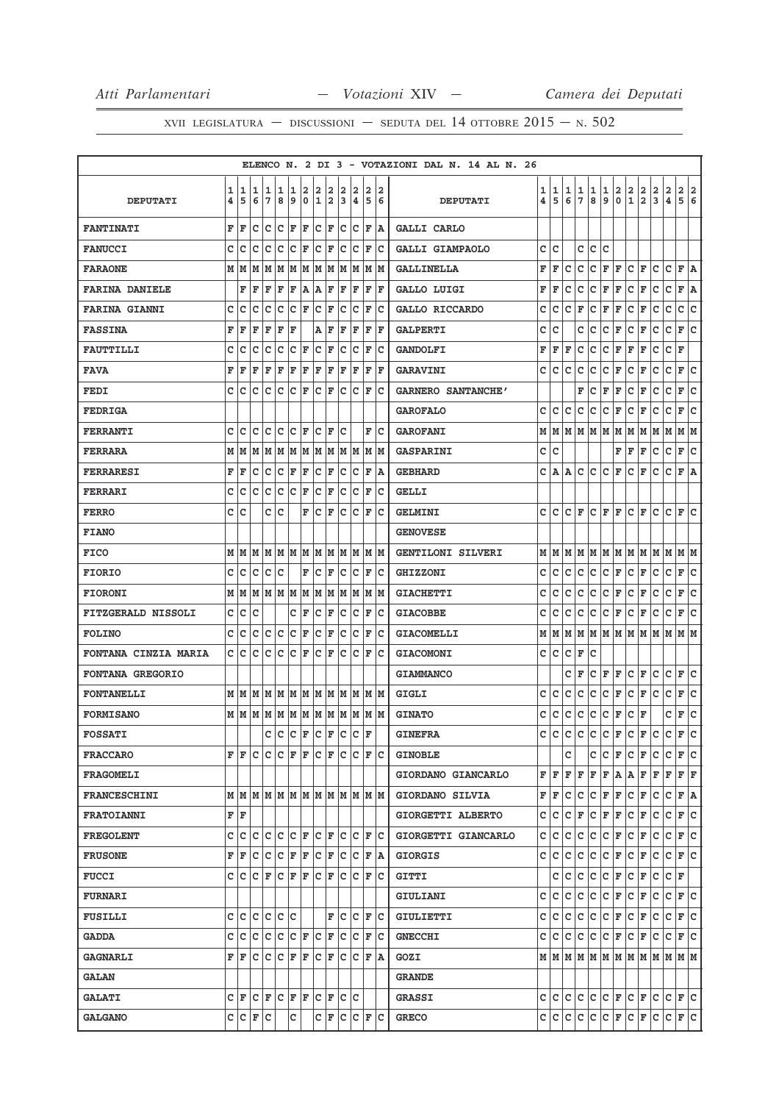|                           |   |        |        |         |        |                      |                      |                      |     |             |                        |   |               | ELENCO N. 2 DI 3 - VOTAZIONI DAL N. 14 AL N. 26 |        |        |              |             |             |        |                    |                    |                                                                             |                        |              |                          |        |
|---------------------------|---|--------|--------|---------|--------|----------------------|----------------------|----------------------|-----|-------------|------------------------|---|---------------|-------------------------------------------------|--------|--------|--------------|-------------|-------------|--------|--------------------|--------------------|-----------------------------------------------------------------------------|------------------------|--------------|--------------------------|--------|
|                           | 1 | 1<br>5 | 1<br>6 | 1<br>7  | 1<br>8 | 1<br>9               | 2<br>$\mathbf 0$     | 2                    | 2   | 2           | 2                      | 2 | 12            |                                                 | 1<br>4 | 1<br>5 | 1<br>6       | 1<br>7      | 1<br>8      | 1<br>9 | 2<br>$\mathbf 0$   | $\frac{2}{1}$      | $\frac{2}{2}$                                                               | 2<br>3                 | 2<br>4       | $\mathbf{2}$<br>5        | 2<br>6 |
| <b>DEPUTATI</b>           | 4 |        |        |         |        |                      |                      | 1                    | 2   | 3           | $\pmb{4}$              | 5 | 6             | <b>DEPUTATI</b>                                 |        |        |              |             |             |        |                    |                    |                                                                             |                        |              |                          |        |
| <b>FANTINATI</b>          | F | F      | с      | c       | c      | F                    | ΙF                   | c                    | F   | c           | Iс                     | F | A             | <b>GALLI CARLO</b>                              |        |        |              |             |             |        |                    |                    |                                                                             |                        |              |                          |        |
| <b>FANUCCI</b>            | c | c      | с      | с       | с      | c                    | F                    | с                    | F   | с           | c                      | F | Iс            | GALLI GIAMPAOLO                                 | c      | с      |              | c           | с           | с      |                    |                    |                                                                             |                        |              |                          |        |
| <b>FARAONE</b>            | M | M      | M      | M       | M      | M                    | M                    | M                    | M   | М           | M                      | М | lм            | <b>GALLINELLA</b>                               | F      | F      | с            | c           | c           | F      | F                  | c                  | F                                                                           | с                      | c            | F                        | ۱A.    |
| <b>FARINA DANIELE</b>     |   | F      | F      | F       | F      | F                    | A                    | A                    | F   | F           | F                      | F | F             | GALLO LUIGI                                     | F      | F      | c            | с           | c           | F      | F                  | c                  | F                                                                           | c                      | c            | F                        | A      |
| <b>FARINA GIANNI</b>      | c | c      | C      | c       | c      | c                    | ΙF                   | c                    | ΙF  | c           | Ιc                     | F | Ιc            | GALLO RICCARDO                                  | с      | с      | c            | F           | c           | F      | F                  | c                  | F                                                                           | с                      | c            | c                        | c      |
| <b>FASSINA</b>            | F | F      | F      | F       | F      | F                    |                      | Α                    | F   | F           | F                      | F | F             | <b>GALPERTI</b>                                 | с      | c      |              | c           | с           | с      | F                  | с                  | F                                                                           | с                      | $\mathtt{C}$ | F                        | lc.    |
| <b>FAUTTILLI</b>          | c | c      | c      | c       | c      | c                    | F                    | c                    | F   | с           | c                      | F | Ιc            | <b>GANDOLFI</b>                                 | F      | F      | F            | c           | с           | c      | F                  | F                  | F                                                                           | с                      | с            | F                        |        |
| <b>FAVA</b>               | F | F      | F      | F       | F      | F                    | F                    | F                    | F   | F           | F                      | F | F             | <b>GARAVINI</b>                                 | с      | с      | с            | с           | c           | C F    |                    | с                  | F                                                                           | с                      | c            | F                        | lc     |
| <b>FEDI</b>               | c | c      | с      | c       | C      | c                    | F                    | c                    | F   | с           | c                      | F | Ιc            | <b>GARNERO SANTANCHE'</b>                       |        |        |              | F           | с           | F      | F                  | с                  | F                                                                           | с                      | c            | F                        | c      |
| <b>FEDRIGA</b>            |   |        |        |         |        |                      |                      |                      |     |             |                        |   |               | <b>GAROFALO</b>                                 | c      | c      | с            | c           | c           | c      | F                  | c                  | F                                                                           | c                      | c            | F                        | c      |
| <b>FERRANTI</b>           | c | C      | c      | C       | C      | с                    | ΙF                   | c                    | ΙF  | c           |                        | F | Iс            | <b>GAROFANI</b>                                 | М      | M      | lМ           |             | M  M        | M M    |                    | M M                |                                                                             | MM                     |              | M  M                     |        |
| <b>FERRARA</b>            | М | M      | M      | M       | M      | M                    | M                    | M                    | M   |             | M M                    |   | M  M          | <b>GASPARINI</b>                                | с      | c      |              |             |             |        | F                  | $\mathbf{F}$       | F                                                                           | с                      | c            | F                        | с      |
| <b>FERRARESI</b>          | F | F      | с      | Iс      | c      | F                    | F                    | c                    | F   | c           | Iс                     | F | ١A            | <b>GEBHARD</b>                                  | c      | A      | Α            | c           | c           | c      | F                  | c                  | F                                                                           | c                      | c            | F A                      |        |
| <b>FERRARI</b>            | c | c      | c      | c       | c      | lc.                  | F                    | c                    | ΙF  | с           | Iс                     | F | Ιc            | <b>GELLI</b>                                    |        |        |              |             |             |        |                    |                    |                                                                             |                        |              |                          |        |
| <b>FERRO</b>              | c | c      |        | c       | c      |                      | F                    | c                    | F   | с           | Iс                     | F | Iс            | <b>GELMINI</b>                                  | c      | c      | c            | F           | c           | F      | F                  | c                  | F                                                                           | c                      | c            | F                        | lc.    |
| <b>FIANO</b>              |   |        |        |         |        |                      |                      |                      |     |             |                        |   |               | <b>GENOVESE</b>                                 |        |        |              |             |             |        |                    |                    |                                                                             |                        |              |                          |        |
| <b>FICO</b>               | M | M      | M      | M       | M      | M                    | lМ                   | M  M                 |     |             | M M                    |   | MM            | GENTILONI SILVERI                               | М      | lм     | lМ           |             |             |        |                    |                    | M   M   M   M   M   M   M   M   M                                           |                        |              |                          |        |
| <b>FIORIO</b>             | c | c      | c      | C       | C      |                      | F                    | C                    | F   | c           | c                      | F | Iс            | <b>GHIZZONI</b>                                 | C      | c      | c            | c           | c           | C F    |                    | c                  | F                                                                           | c                      | $\mathtt{C}$ | F                        | lc     |
| <b>FIORONI</b>            | М | M      | M      | M       | M      | M                    | M                    | M                    | M   | M           | M                      | M | lМ            | <b>GIACHETTI</b>                                | c      | c      | c            | с           | c           | C F    |                    | c                  | F                                                                           | с                      | с            | F                        | с      |
| <b>FITZGERALD NISSOLI</b> | с | c      | C      |         |        | с                    | F                    | с                    | F   | $\mathbf C$ | c                      | F | Iс            | <b>GIACOBBE</b>                                 | с      | с      | с            | с           | c           | C F    |                    | C F                |                                                                             | c                      | c            | F                        | c      |
| <b>FOLINO</b>             | c | c      | c      | c       | c      | c                    | F                    | с                    | F   | с           | c                      | F | Ιc            | <b>GIACOMELLI</b>                               | М      | M      | lМ           | м           | lм          |        | M   M   M          |                    | lм                                                                          | M                      | M            | M  M                     |        |
| FONTANA CINZIA MARIA      | c | Ιc     | с      | c       | c      | c                    | F                    | c                    | F   | с           | Iс                     | F | Iс            | <b>GIACOMONI</b>                                | с      | c      | с            | F           | с           |        |                    |                    |                                                                             |                        |              |                          |        |
| <b>FONTANA GREGORIO</b>   |   |        |        |         |        |                      |                      |                      |     |             |                        |   |               | <b>GIAMMANCO</b>                                |        |        | c            | F           | с           | F      | F                  | с                  | F                                                                           | с                      | c            | F                        | c      |
| <b>FONTANELLI</b>         | M | M      | M      | M       | M      | lМ                   | M                    | M M                  |     | M           | lм                     |   | M M           | <b>GIGLI</b>                                    | c      | с      | $\mathtt{C}$ | $\mathbf C$ | c           | C F    |                    | $ c _F$            |                                                                             | c                      | c            | F                        | c      |
| <b>FORMISANO</b>          | м | M      | M      | M       | M      | M                    | M                    | MM                   |     | M           | M                      |   | M M           | <b>GINATO</b>                                   | с      | с      | с            | с           | с           | с      | F                  | с                  | F                                                                           |                        | с            | F                        | c      |
| <b>FOSSATI</b>            |   |        |        | c       | Ιc     | lc.                  | F                    | c                    | F   | Iс          | Iс                     | F |               | <b>GINEFRA</b>                                  | c      | с      | c            | c           | c           | c      | F                  | c                  | F                                                                           | c                      | c            | F                        | c      |
| <b>FRACCARO</b>           | F | lF.    | lc.    | C C F F |        |                      |                      | $ C $ $\mathbf{F}$   |     |             | $ C C $ $\mathbf{F} C$ |   |               | <b>GINOBLE</b>                                  |        |        | c            |             | с           |        | $ C $ $\mathbf{F}$ | $ C $ $\mathbf{F}$ |                                                                             | $ C C $ $\mathbf{F} C$ |              |                          |        |
| <b>FRAGOMELI</b>          |   |        |        |         |        |                      |                      |                      |     |             |                        |   |               | GIORDANO GIANCARLO                              | F      | ΙF.    |              | F F         | F           |        | F A                | AF                 |                                                                             | lF.                    | F            | $F$ $F$                  |        |
| <b>FRANCESCHINI</b>       |   |        |        |         |        |                      |                      |                      |     |             |                        |   |               | GIORDANO SILVIA                                 | F      | F      | c            | c           | ∣c.         | F F    |                    | C F                |                                                                             | c                      | c            | F A                      |        |
| FRATOIANNI                | F | lF     |        |         |        |                      |                      |                      |     |             |                        |   |               | GIORGETTI ALBERTO                               | c      | c      | c            | F           | c           | F F    |                    | $ c _F$            |                                                                             | c                      | c            | F C                      |        |
| <b>FREGOLENT</b>          | c | c.     | c      | c c     |        | $ {\bf C}  {\bf F} $ |                      | $ c _F$              |     |             | lc lc.                 |   | $ {\bf F} $ C | GIORGETTI GIANCARLO                             | c      | c      | lc.          | c.          | c.          |        |                    |                    | C F C F C                                                                   |                        |              | $ C $ $\mathbf{F}$ $ C $ |        |
| <b>FRUSONE</b>            | F | F      | c      | c c     |        | F                    | F                    | $ {\bf C}  {\bf F} $ |     | с           | IC.                    |   | F A           | <b>GIORGIS</b>                                  | c      | IC.    | с            | с           | c           |        | C F                | $ C $ F            |                                                                             | с                      |              | C F C                    |        |
| <b>FUCCI</b>              | c | Ιc     | lc.    | F       | lc.    | F                    | ΙF                   | lc.                  | ΙF  | lc.         | Ιc                     | F | Ιc            | GITTI                                           |        | c      | c            | c           | lc.         |        | C F                | $ {\tt C}\, $ F    |                                                                             | lc.                    | C F          |                          |        |
| <b>FURNARI</b>            |   |        |        |         |        |                      |                      |                      |     |             |                        |   |               | GIULIANI                                        | c      | c.     | c            |             | c c         |        | C F                | $ C $ F            |                                                                             | c                      |              | $ C $ $\mathbf{F}$ $ C $ |        |
| FUSILLI                   | c | c      | c      | c       | c      | lc                   |                      |                      | F   | c           | Ιc                     | F | Ιc            | GIULIETTI                                       | c      | c      | c            | c           | c           |        | C F                | C F                |                                                                             | c                      | c            | F                        | lc.    |
| <b>GADDA</b>              | c | Iс     | Ιc     | Iс      | c      |                      | $ {\bf C}  {\bf F} $ | lc.                  | ΙF  | c           | Iс                     |   | F C           | <b>GNECCHI</b>                                  | c      | IC.    | lc.          | ∣c∙         | c           |        | C F C F            |                    |                                                                             | lc.                    |              | $ C $ $\mathbf{F}$ $ C $ |        |
| <b>GAGNARLI</b>           | F | F      | C      | Iс      | c      | F                    | F                    | c                    | ΙF  | c           | Ιc                     | F | ۱A.           | GOZI                                            |        |        |              |             |             |        |                    |                    | $M$   $M$   $M$   $M$   $M$   $M$   $M$   $M$   $M$   $M$   $M$   $M$   $M$ |                        |              |                          |        |
| <b>GALAN</b>              |   |        |        |         |        |                      |                      |                      |     |             |                        |   |               | <b>GRANDE</b>                                   |        |        |              |             |             |        |                    |                    |                                                                             |                        |              |                          |        |
| <b>GALATI</b>             | c | ΙF     | c      | F       | Iс     | F                    | ΙF                   |                      | C F | c           | lc                     |   |               | <b>GRASSI</b>                                   |        | C C    | c            |             | C C E F C F |        |                    |                    |                                                                             | lc.                    |              | $ C $ $\mathbf{F}$ $ C $ |        |
| <b>GALGANO</b>            | c | ∣c     | F      | Iс      |        | с                    |                      | c                    | F   | c           | c                      | F | lc.           | <b>GRECO</b>                                    |        | C C C  |              |             | c c         |        | C F                | $ c _F$            |                                                                             | c                      |              | $ C $ $\mathbf{F}$ $ C $ |        |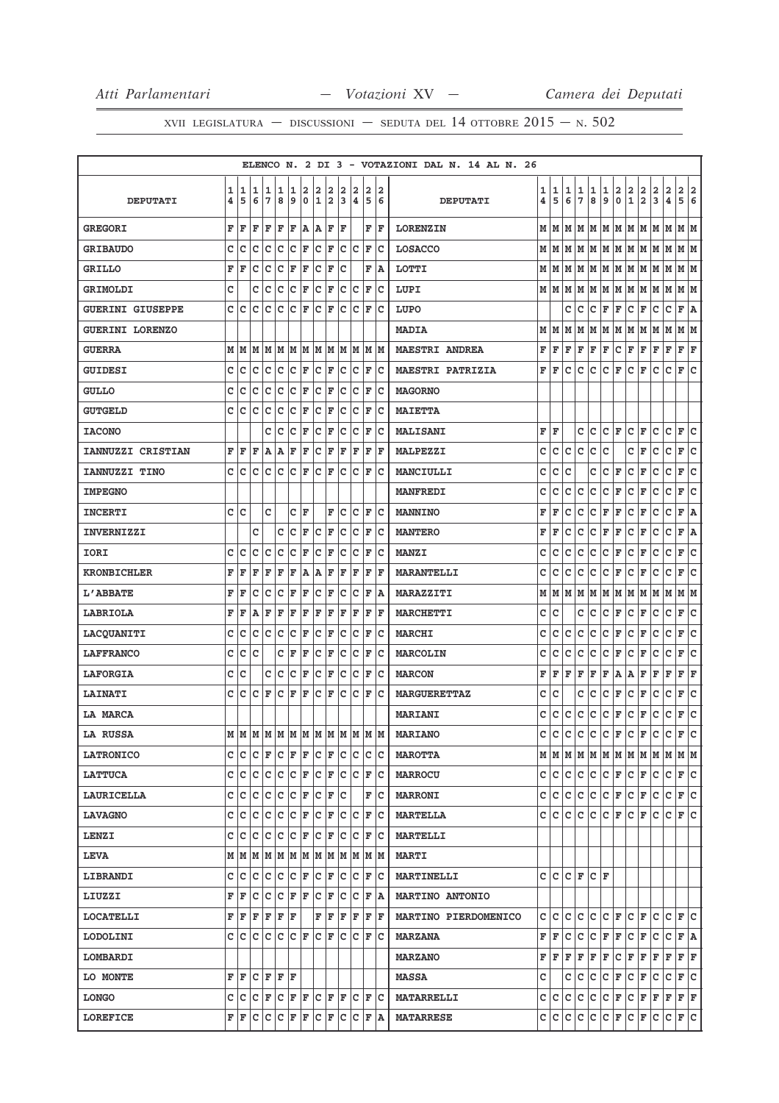|                          |        |        |        |                     |        |        |                  |                   |        |        |                |        |        | ELENCO N. 2 DI 3 - VOTAZIONI DAL N. 14 AL N. 26 |        |              |        |                      |                     |                       |                |                              |                              |        |              |        |        |
|--------------------------|--------|--------|--------|---------------------|--------|--------|------------------|-------------------|--------|--------|----------------|--------|--------|-------------------------------------------------|--------|--------------|--------|----------------------|---------------------|-----------------------|----------------|------------------------------|------------------------------|--------|--------------|--------|--------|
| <b>DEPUTATI</b>          | 1<br>4 | 1<br>5 | 1<br>6 | 1<br>$\overline{7}$ | 1<br>8 | 1<br>9 | 2<br>$\mathbf 0$ | 2<br>$\mathbf{1}$ | 2<br>2 | 2<br>3 | 2<br>$\pmb{4}$ | 2<br>5 | 2<br>6 | <b>DEPUTATI</b>                                 | 1<br>4 | 1<br>5       | 1<br>6 | 1<br>7               | 1<br>8              | 1<br>9                | 2<br>$\pmb{0}$ | 2<br>$\mathbf{1}$            | 2<br>$\overline{\mathbf{2}}$ | 2<br>3 | 2<br>4       | 2<br>5 | 2<br>6 |
| <b>GREGORI</b>           | F      | F      | F      | F                   | F      | F      | Α                | Α                 | F      | F      |                | F      | F      | <b>LORENZIN</b>                                 | м      | M            | м      | M                    | M                   | MM                    |                | M                            | M                            | M      | М            | MM     |        |
| <b>GRIBAUDO</b>          | C      | c      | C      | c                   | C      | c      | F                | c                 | F      | c      | c              | F      | c      | <b>LOSACCO</b>                                  | м      | M            | M      | lм                   | M                   | MM                    |                | M                            | M                            | M      | M            | M  M   |        |
| <b>GRILLO</b>            | F      | F      | с      | c                   | c      | F      | F                | с                 | F      | c      |                | F      | ΙA     | LOTTI                                           |        | M   M        |        |                      | M  M  M  M  M  M  M |                       |                |                              |                              | M      | M            | M  M   |        |
| <b>GRIMOLDI</b>          | c      |        | c      | с                   | c      | c      | F                | c                 | F      | C      | c              | F      | Ιc     | LUPI                                            |        | MM           | М      | М                    | М                   | M   M                 |                | М                            | M                            | М      | M            | М      | M      |
| <b>GUERINI GIUSEPPE</b>  | c      | c      | C      | C                   | C      | c      | F                | c                 | F      | c      | c              | F      | lc     | LUPO                                            |        |              | c      | c                    | с                   | $\mathbf F$           | F              | c                            | F                            | с      | с            | F A    |        |
| <b>GUERINI LORENZO</b>   |        |        |        |                     |        |        |                  |                   |        |        |                |        |        | <b>MADIA</b>                                    | м      | lМ           | M      | M                    | M                   |                       | MMMM           |                              |                              | MM     |              | M  M   |        |
| <b>GUERRA</b>            | М      | M      | M      | M                   | M      | M      | M                | M                 | M      | lм     | M              |        | M M    | <b>MAESTRI ANDREA</b>                           | F      | F            | F      | F                    | F                   | F                     | lc.            | F                            | F                            | F      | F            | F      | F      |
| <b>GUIDESI</b>           | c      | c      | c      | c                   | c      | c      | F                | с                 | F      | c      | c              | F      | Iс     | <b>MAESTRI PATRIZIA</b>                         | F      | F            | c      | c                    | c                   | c                     | F              | c                            | F                            | c      | $\mathtt{C}$ | F      | lc.    |
| <b>GULLO</b>             | C      | c      | с      | с                   | C      | c      | F                | c                 | F      | с      | с              | F      | c      | <b>MAGORNO</b>                                  |        |              |        |                      |                     |                       |                |                              |                              |        |              |        |        |
| <b>GUTGELD</b>           | c      | c      | c      | c                   | c      | c      | F                | c                 | F      | с      | c              | F      | Iс     | <b>MAIETTA</b>                                  |        |              |        |                      |                     |                       |                |                              |                              |        |              |        |        |
| <b>IACONO</b>            |        |        |        | c                   | c      | с      | F                | c                 | F      | c      | c              | F      | c      | <b>MALISANI</b>                                 | F      | F            |        | c                    | c                   | CF                    |                | c                            | F                            | c      | с            | F      | c      |
| <b>IANNUZZI CRISTIAN</b> | F      | F      | F      | А                   | A      | F      | F                | C                 | F      | F      | F              | ΙF     | F      | <b>MALPEZZI</b>                                 | C      | $\mathbf{C}$ | c      | $\mathbf{C}$         | с                   | c                     |                | c                            | F                            | C      | c            | F      | lc.    |
| IANNUZZI TINO            | C      | Iс     | c      | c                   | c      | c      | F                | c                 | F      | c      | c              | F      | Ιc     | <b>MANCIULLI</b>                                | с      | с            | с      |                      | с                   | c                     | F              | с                            | F                            | с      | с            | F      | c      |
| <b>IMPEGNO</b>           |        |        |        |                     |        |        |                  |                   |        |        |                |        |        | <b>MANFREDI</b>                                 | с      | C            | c      | с                    | c                   | c                     | F              | c                            | F                            | c      | с            | F      | C      |
| <b>INCERTI</b>           | c      | lc.    |        | c                   |        | c      | ΙF               |                   | F      | c      | c              | F      | Ιc     | <b>MANNINO</b>                                  | F      | F            | c      | c                    | с                   | F                     | F              | с                            | F                            | c      | c            | F A    |        |
| <b>INVERNIZZI</b>        |        |        | с      |                     | с      | с      | F                | с                 | F      | с      | с              | F      | c      | <b>MANTERO</b>                                  | F      | F            | с      | с                    | с                   | F                     | F              | с                            | F                            | с      | с            | F      | A      |
| IORI                     | с      | c      | C      | с                   | c      | с      | F                | C                 | F      | с      | c              | F      | Iс     | <b>MANZI</b>                                    | с      | с            | с      | с                    | c                   | с                     | F              | с                            | F                            | с      | с            | F      | c      |
| <b>KRONBICHLER</b>       | F      | ΙF     | F      | F                   | F      | F      | A                | Α                 | F      | F      | F              | F      | l F    | <b>MARANTELLI</b>                               | c      | C            | c      | с                    | с                   | с                     | F              | с                            | F                            | с      | с            | F      | c      |
| <b>L'ABBATE</b>          | F      | ΙF     | C      | c                   | C      | F      | F                | c                 | F      | c      | c              | F      | lA.    | MARAZZITI                                       | М      | M            | м      | М                    | M                   | М                     | M              | М                            | M                            | M      | М            | MM     |        |
| LABRIOLA                 | F      | F      | A      | F                   | F      | F      | F                | F                 | F      | F      | F              | F      | F      | <b>MARCHETTI</b>                                | с      | c            |        | c                    | c                   | c                     | F              | c                            | F                            | c      | c            | F      | lc.    |
| LACQUANITI               | C      | c      | C      | c                   | c      | c      | F                | c                 | F      | с      | с              | F      | c      | <b>MARCHI</b>                                   | с      | C            | с      | c                    | c                   | c                     | F              | c                            | F                            | с      | с            | F      | C      |
| <b>LAFFRANCO</b>         | c      | c      | c      |                     | C      | F      | F                | c                 | F      | c      | c              | F      | Iс     | <b>MARCOLIN</b>                                 | с      | с            | c      | с                    | c                   | c                     | F              | c                            | F                            | с      | c            | F      | lc.    |
| <b>LAFORGIA</b>          | с      | c      |        | с                   | C      | с      | F                | с                 | F      | с      | с              | F      | c      | <b>MARCON</b>                                   | F      | F            | F      | F                    | F                   | F                     | A              | Α                            | F                            | F      | F            | F      | F      |
| <b>LAINATI</b>           | C      | c      | с      | F                   | c      | F      | F                | c                 | F      | C      | c              | F      | Iс     | <b>MARGUERETTAZ</b>                             | с      | с            |        | с                    | с                   | с                     | F              | с                            | F                            | с      | с            | F      | c      |
| LA MARCA                 |        |        |        |                     |        |        |                  |                   |        |        |                |        |        | <b>MARIANI</b>                                  | c      | с            | c      | с                    | c                   | с                     | F              | с                            | F                            | с      | с            | F      | c      |
| <b>LA RUSSA</b>          | М      | lм     | M      | M                   | M      | M      | M                | M                 | M      | M      | M              | M      | lм     | <b>MARIANO</b>                                  | c      | c            | c      | c                    | c                   | c                     | F              | c                            | F                            | c      | с            | F      | c      |
| <b>LATRONICO</b>         | c      | с      | Iс     | F                   | Iс     | F      | F                | lc.               | F      | Iс     | Iс             |        | c c    | <b>MAROTTA</b>                                  |        |              |        |                      |                     |                       |                |                              |                              |        |              |        |        |
| <b>LATTUCA</b>           | c      | Iс     | c      | Iс                  | c      | c      | F                | c                 | F      | c      | lc.            | F      | Ιc     | <b>MARROCU</b>                                  |        | C C          | c      | lc.                  | lc.                 | $ {\bf C}  {\bf F} $  |                | $ {\bf C}  {\bf F} $         |                              | c      | c            | F C    |        |
| <b>LAURICELLA</b>        | c      | c      | lc.    | lc.                 | Iс     | c      | F                | c                 | F      | lc     |                | F      | Ιc     | <b>MARRONI</b>                                  | c      | lc.          | lc.    | lc.                  | c                   | C F                   |                | $ {\tt C} \,  $ F            |                              | с      | c            | F C    |        |
| <b>LAVAGNO</b>           | c      | c      | c      | с                   | c      | с      | F                | c                 | F      | c      | c              | F      | Ιc     | <b>MARTELLA</b>                                 |        | C C          | с      | c                    | c                   | CF                    |                | c                            | F                            | c      | c            | F C    |        |
| <b>LENZI</b>             | c      | c      | c      | c                   | c      | c      | F                | c                 | F      | c      | c              | F      | Iс     | <b>MARTELLI</b>                                 |        |              |        |                      |                     |                       |                |                              |                              |        |              |        |        |
| <b>LEVA</b>              | М      | M      | M      | M                   | M      | M      | M                | M                 | lм     | M      | M              |        | M M    | <b>MARTI</b>                                    |        |              |        |                      |                     |                       |                |                              |                              |        |              |        |        |
| LIBRANDI                 | c      | с      | c      | с                   | c      | c      | F                | c                 | F      | c      | c              | F      | Ιc     | <b>MARTINELLI</b>                               |        | c  c         |        | $ {\bf C}  {\bf F} $ | $ C $ $\mathbf{F}$  |                       |                |                              |                              |        |              |        |        |
| LIUZZI                   | F      | F      | c      | Iс                  | Iс     | F      | F                | c                 | F      | c      | c              |        | F A    | <b>MARTINO ANTONIO</b>                          |        |              |        |                      |                     |                       |                |                              |                              |        |              |        |        |
| <b>LOCATELLI</b>         | F      | F      | F      | F                   | F      | F      |                  | F                 | F      | F      | F              | F      | F      | MARTINO PIERDOMENICO                            | c      | lc.          | c      | c                    | c                   | CF                    |                | C F                          |                              | с      | c            | F C    |        |
| <b>LODOLINI</b>          | c      | с      | Iс     | Iс                  | Iс     | c      | F                |                   | C F    | с      | lc.            |        | F C    | <b>MARZANA</b>                                  | F      | F            | c      | lc.                  | lc.                 | F F                   |                | c                            | F                            | c      | c            | F A    |        |
| LOMBARDI                 |        |        |        |                     |        |        |                  |                   |        |        |                |        |        | <b>MARZANO</b>                                  |        | FF           | F      | F                    | F                   | F                     | c              | F                            | F                            | F      | F            | F F    |        |
| LO MONTE                 | F      | F      | c      | F F                 |        | ١F     |                  |                   |        |        |                |        |        | <b>MASSA</b>                                    | c      |              | c      | c                    | c                   | C F                   |                | c.                           | F                            | c      | $\mathtt{C}$ | F c    |        |
| <b>LONGO</b>             | C      | Ιc     | c      | F                   | c      | F      | F                | c                 | F      | F      | lc.            | F      | ΙC     | <b>MATARRELLI</b>                               |        | c  c         | c      | c                    | c                   | C F                   |                | $ {\tt C} \,  $ ${\tt F} \,$ |                              | F      | F            | F F    |        |
| <b>LOREFICE</b>          | F      | F      | c      | с                   | c      | F      | F                | c                 | F      | c      | c              | F      | ١A     | <b>MATARRESE</b>                                |        | C C C        |        | c c                  |                     | $ {\tt C}\, {\tt F} $ |                | $ C $ F                      |                              | с      | c.           | F C    |        |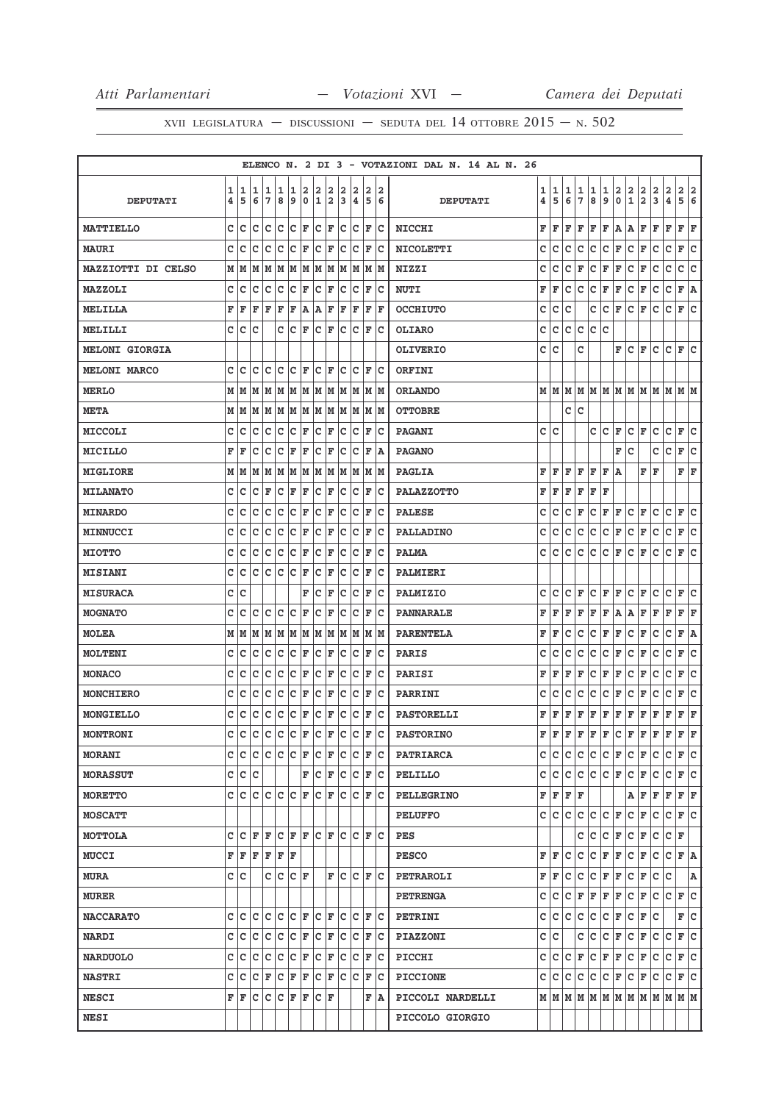|                       |   |     |     |     |     |     |     |      |    |   |      |    |      | ELENCO N. 2 DI 3 - VOTAZIONI DAL N. 14 AL N. 26                                                                 |              |                          |
|-----------------------|---|-----|-----|-----|-----|-----|-----|------|----|---|------|----|------|-----------------------------------------------------------------------------------------------------------------|--------------|--------------------------|
|                       | 1 | 1   | 1   | 1   | 1   | 1   | 2   | 2    | 2  | 2 | 2    | 2  | 2    | 2<br>1<br>1<br>1<br>1<br>1<br>1                                                                                 | 2            | 2<br>2                   |
| <b>DEPUTATI</b>       | 4 | 5   | 6   | 7   | 8   | 9   | 0   | 1    | 2  | 3 | 4    | 5  | 6    | $\frac{2}{1}$<br>$\frac{2}{2}$<br>$\frac{2}{3}$<br>7<br>9<br>$\mathbf 0$<br>5<br>6<br>8<br>4<br><b>DEPUTATI</b> | 4            | 5<br>6                   |
| MATTIELLO             | c | c   | с   | c   | c   | c   | F   | с    | F  | c | Iс   | F  | Iс   | F<br>F<br>F<br>A<br>F<br>F<br>F<br>Α<br>F<br>F<br><b>NICCHI</b>                                                 | F            | F<br>F                   |
| <b>MAURI</b>          | c | c   | с   | c   | c   | c   | F   | c    | F  | C | c    | F  | Iс   | c<br>c<br>c<br>c<br>F<br>c<br>F<br>c<br><b>NICOLETTI</b><br>с<br>с                                              | c            | F<br>c                   |
| MAZZIOTTI DI CELSO    | М | M   | М   | M   | M   | M   | M   | M    | M  | М | M    | M  | lм   | c<br>C<br>c<br>$\mathbf F$<br>F<br>c<br>F<br>c<br>с<br>F<br><b>NIZZI</b>                                        | c            | c<br> c                  |
| MAZZOLI               | c | c   | с   | c   | c   | c   | F   | c    | F  | с | Ιc   | F  | Iс   | c<br>c<br><b>NUTI</b><br>F<br>F<br>с<br>с<br>F<br>F<br>F<br>с                                                   | $\mathtt{C}$ | F<br>A                   |
| MELILLA               | F | F   | F   | F   | F   | F   | A   | Α    | F  | F | F    | F  | ΙF   | c<br>c<br>c<br>c<br>с<br>c<br>c<br>lF.<br>lF.<br><b>OCCHIUTO</b>                                                | c            | F<br>c                   |
| MELILLI               | c | c   | с   |     | c   | c   | F   | c    | F  | c | Ιc   | ΙF | Iс   | c<br>c<br>c<br>с<br>с<br>с<br><b>OLIARO</b>                                                                     |              |                          |
| <b>MELONI GIORGIA</b> |   |     |     |     |     |     |     |      |    |   |      |    |      | c<br>c<br>с<br>F<br>с<br>F<br>с<br><b>OLIVERIO</b>                                                              | с            | F<br>c                   |
| <b>MELONI MARCO</b>   | c | Iс  | с   | Iс  | с   | Iс  | F   | с    | F  | с | Iс   | F  | Iс   | ORFINI                                                                                                          |              |                          |
| <b>MERLO</b>          | M | M   | М   | M   | M   | M   | M   | M    | M  | M | M    | M  | M    | MMMMMMMM<br>М<br>M<br>M<br><b>ORLANDO</b>                                                                       | lм           | MM                       |
| <b>META</b>           | М | M   | M   | M   | M   |     | M M | MM   |    |   | M  M |    | M  M | c<br>lc.<br><b>OTTOBRE</b>                                                                                      |              |                          |
| MICCOLI               | c | c   | с   | c   | c   | c   | F   | с    | F  | с | Ιc   | F  | Iс   | c<br>c<br><b>PAGANI</b><br>с<br>с<br>F<br>с<br>F<br>с                                                           | c            | c<br>F                   |
| MICILLO               | F | F   | c   | c   | c   | F   | F   | c    | ΙF | c | Ιc   | F  | ١A   | c<br>c<br>F<br><b>PAGANO</b>                                                                                    | c            | F<br>c                   |
| MIGLIORE              | М | M   | M   | M   | M   | M   | M   | M  M |    | M | M    | M  | lм   | F<br>F<br>F<br>F<br>F<br>F<br>F<br>F<br><b>PAGLIA</b><br>١A                                                     |              | F F                      |
| <b>MILANATO</b>       | c | c   | с   | F   | c   | F   | F   | с    | F  | с | c    | F  | Iс   | F<br>F<br>F<br>F<br>F<br>F<br><b>PALAZZOTTO</b>                                                                 |              |                          |
| <b>MINARDO</b>        | с | с   | с   | c   | c   | c   | F   | с    | F  | с | c    | F  | Iс   | c<br>с<br>с<br>с<br>F<br>с<br>F<br>F<br>F<br>с<br><b>PALESE</b>                                                 | c            | c<br>F                   |
| MINNUCCI              | c | c   | c   | c   | c   | c   | F   | c    | F  | C | c    | F  | Iс   | c<br>с<br>$\mathtt{C}$<br>c<br>c<br>C F<br>C F<br>c<br>PALLADINO                                                | c            | F<br> c                  |
| <b>MIOTTO</b>         | C | c   | c   | C   | C   | c   | F   | C    | F  | c | c    | F  | Iс   | c<br>c<br>c<br>c<br>c<br>c<br>c<br>F<br>F<br>c<br><b>PALMA</b>                                                  | c            | lc<br>F                  |
| <b>MISIANI</b>        | c | c   | с   | c   | c   | c   | F   | c    | F  | c | c    | F  | Iс   | PALMIERI                                                                                                        |              |                          |
| <b>MISURACA</b>       | с | c   |     |     |     |     | F   | c    | F  | c | c    | F  | c    | F<br>F<br>c<br>F<br>c<br>c<br>c<br>F<br>с<br>с<br>PALMIZIO                                                      | c            | F<br>с                   |
| <b>MOGNATO</b>        | c | c   | с   | c   | c   | c   | F   | с    | F  | c | Ιc   | F  | Iс   | F<br>F<br>F<br>F A<br>F<br>F<br>PANNARALE<br>F<br>F<br>Α                                                        | F            | F F                      |
| <b>MOLEA</b>          | М | M   | M   | M   | M   | M   | M   | M    | M  | M | M    | M  | lМ   | F<br>F<br>с<br>с<br>с<br>F<br>F<br>с<br>F<br>с<br><b>PARENTELA</b>                                              | с            | F<br>А                   |
| <b>MOLTENI</b>        | с | c   | с   | c   | c   | c   | F   | c    | F  | с | c    | F  | Iс   | c<br>c<br>с<br>с<br>с<br>с<br>с<br>F<br>F<br>с<br><b>PARIS</b>                                                  | c            | c<br>F                   |
| <b>MONACO</b>         | c | c   | c   | c   | c   | c   | F   | c    | F  | c | c    | F  | Ιc   | c<br>F<br>F<br>c<br>F<br>c<br>F<br>F<br>F<br>F<br>PARISI                                                        | $\mathtt{C}$ | c<br>F                   |
| MONCHIERO             | C | c   | c   | C   | C   | C   | F   | C    | F  | c | c    | F  | Iс   | $\mathtt{C}$<br>c<br>c<br>c<br>c<br>c<br>c<br> F<br>c<br>F<br><b>PARRINI</b>                                    | $\mathtt{C}$ | F<br>c                   |
| MONGIELLO             | c | c   | с   | c   | c   | c   | F   | c    | F  | c | Ιc   | F  | Iс   | <b>PASTORELLI</b><br>F<br>F<br>F<br>F<br>F<br>F<br>F<br>F<br>F<br>F                                             | F            | F<br>F                   |
| <b>MONTRONI</b>       | C | Ιc  | C   | Iс  | lc. | c   | F   | c    | F  | c | Ιc   | F  | Ιc   | F<br>F<br>F<br>F<br>F<br>c<br>F<br>F<br>F<br><b>PASTORINO</b><br>F                                              | F            | F<br>ΙF                  |
| <b>MORANI</b>         | c | lc. | lc. | c c |     | lc. | F   | lc.  | F  | c | Iс   | F  | ΙC   | c c<br>C F<br>$ C $ $\mathbf{F}$<br>с<br>∣c.<br>с<br>с<br><b>PATRIARCA</b>                                      | lc.          | F C                      |
| <b>MORASSUT</b>       | с | Iс  | с   |     |     |     | F   | с    | F  | c | Iс   | F  | Iс   | c<br>c<br>c<br>c<br>C F<br>c<br>F<br>с<br>с<br>PELILLO                                                          | c            | F<br>c                   |
| MORETTO               | c | Iс  | c   | Iс  | Iс  | lc. | F   | c    | F  | c | Iс   | F  | Iс   | $F$ $F$ $F$<br>F<br>AF<br>F<br><b>PELLEGRINO</b>                                                                | F            | F F                      |
| <b>MOSCATT</b>        |   |     |     |     |     |     |     |      |    |   |      |    |      | lc.<br>c<br>c<br>$ c _F$<br>c<br>c<br>C F<br>c<br><b>PELUFFO</b>                                                | c            | F C                      |
| MOTTOLA               | c | c   | F   | F   | lc. | F   | ΙF  | lc.  | ١F | c | lc   | F  | Ιc   | c<br>C F<br>C F<br>c<br>c<br>PES                                                                                | C F          |                          |
| <b>MUCCI</b>          | F | F   | F   | F F |     | ١F  |     |      |    |   |      |    |      | c<br>c<br>c<br>$ {\bf F}  {\bf F} $<br>$ {\tt C}  {\tt F} $<br>c<br>F<br>l F<br><b>PESCO</b>                    | c            | F A                      |
| <b>MURA</b>           | c | Iс  |     | c   | lc. | lc. | ΙF  |      | F  | c | lc.  | F  | lc.  | c<br>c<br>F<br>F<br>c<br>c<br>F<br>F<br>с<br>F<br>PETRAROLI                                                     | c            | Α                        |
| <b>MURER</b>          |   |     |     |     |     |     |     |      |    |   |      |    |      | $ c _F$<br>c<br> F F <br> F F <br>c<br>c<br>с<br><b>PETRENGA</b>                                                |              | $ C $ $\mathbf{F}$ $ C $ |
| <b>NACCARATO</b>      | c | c   | c   | c   | c   | c   | ΙF  | c    | ΙF | c | Ιc   | F  | Iс   | c<br>c<br>c<br>C F <br>c<br>с<br>с<br>F<br>с<br>PETRINI                                                         |              | F<br> c                  |
| <b>NARDI</b>          | c | c   | c   | c   | c   | c   | F   | c    | F  | c | c    | F  | lc   | $ c $ F<br>c<br>c<br>c<br>c<br>C F<br>c<br><b>PIAZZONI</b>                                                      | c            | F<br>lc.                 |
| <b>NARDUOLO</b>       | c | c   | c   | lc  | c   | c   | F   | c    | F  | c | Ιc   | F  | Iс   | c<br>c<br>F<br>c<br> F F<br>$ C $ $\mathbf{F}$<br>c<br>с<br>PICCHI                                              | c            | F<br>lc.                 |
| <b>NASTRI</b>         | c | c   | с   | F   | c   | F   | F   | c    | F  | c | Iс   | F  | Iс   | c<br>c<br>c<br>CF<br>$ C $ F<br>c<br>с<br>с<br><b>PICCIONE</b>                                                  | с            | lc.<br>F                 |
| <b>NESCI</b>          | F | F   | c   | Iс  | Iс  | F   | F   | lc.  | ΙF |   |      | F  | ۱A   | $M$   $M$   $M$   $M$   $M$   $M$   $M$   $M$   $M$   $M$   $M$   $M$   $M$<br>PICCOLI NARDELLI                 |              |                          |
| <b>NESI</b>           |   |     |     |     |     |     |     |      |    |   |      |    |      | PICCOLO GIORGIO                                                                                                 |              |                          |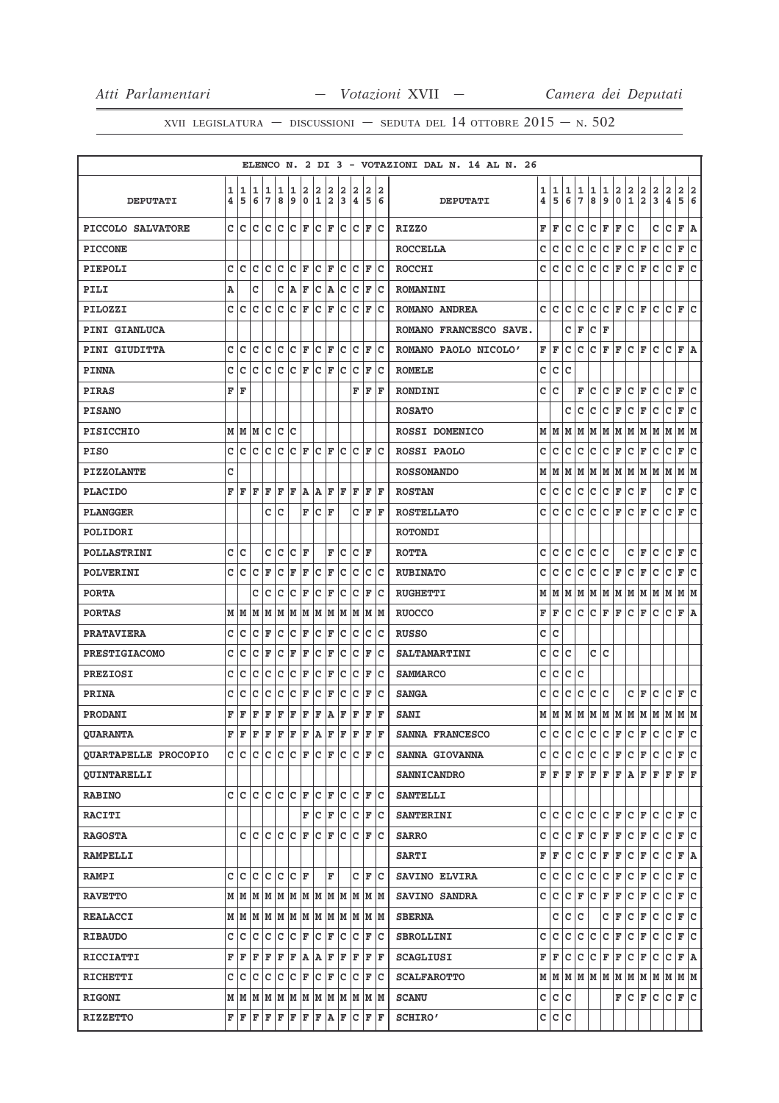|                             |        |        |               |        |             |                      |                  |                      |                     |        |                              |        |                                                                       | ELENCO N. 2 DI 3 - VOTAZIONI DAL N. 14 AL N. 26 |        |             |              |        |        |        |               |               |                                                           |               |                          |        |        |
|-----------------------------|--------|--------|---------------|--------|-------------|----------------------|------------------|----------------------|---------------------|--------|------------------------------|--------|-----------------------------------------------------------------------|-------------------------------------------------|--------|-------------|--------------|--------|--------|--------|---------------|---------------|-----------------------------------------------------------|---------------|--------------------------|--------|--------|
| <b>DEPUTATI</b>             | 1<br>4 | 1<br>5 | 1<br>6        | 1<br>7 | 1<br>8      | 1<br>9               | 2<br>$\mathbf 0$ | 2<br>$\mathbf{1}$    | 2<br>$\overline{a}$ | 2<br>3 | 2<br>$\overline{\mathbf{4}}$ | 2<br>5 | 2<br>6                                                                | <b>DEPUTATI</b>                                 | 1<br>4 | 1<br>5      | 1<br>6       | 1<br>7 | 1<br>8 | 1<br>9 | $\frac{2}{0}$ | $\frac{2}{1}$ | $\frac{2}{2}$                                             | $\frac{2}{3}$ | $\frac{2}{4}$            | 2<br>5 | 2<br>6 |
| PICCOLO SALVATORE           | c      | lc     | c             | lc.    | Iс          | lc.                  | ΙF               | lc.                  | F                   | Iс     | Iс                           | F      | Ιc                                                                    | <b>RIZZO</b>                                    | F      | F           | c            | c      | c      | F      | F             | c             |                                                           | c             | $\mathbf C$              | F      | Α      |
| <b>PICCONE</b>              |        |        |               |        |             |                      |                  |                      |                     |        |                              |        |                                                                       | <b>ROCCELLA</b>                                 | c      | c           | c            | c      | c      | c      | F             | c             | F                                                         | c             | $\mathbf C$              | F      | c      |
| PIEPOLI                     | C      | lc     | ١c            | lc     | Ιc          | Ιc                   | İΕ               | c                    | ΙF                  | c      | Iс                           | F      | lc                                                                    | <b>ROCCHI</b>                                   | c      | c           | c            | c      | c      | c      | F             | c             | F                                                         | c             | c                        | F      | C      |
| PILI                        | Α      |        | c             |        | с           | A                    | F                | c                    | ١A                  | c      | Iс                           | F      | Ιc                                                                    | <b>ROMANINI</b>                                 |        |             |              |        |        |        |               |               |                                                           |               |                          |        |        |
| PILOZZI                     | c      | Ιc     | c             | c      | c           | lc                   | ΙF               | c                    | ΙF                  | с      | c                            | F      | Ιc                                                                    | ROMANO ANDREA                                   | c      | c           | c            | с      | c      | c      | F             | c             | F                                                         | c             | c                        | F      | c      |
| <b>PINI GIANLUCA</b>        |        |        |               |        |             |                      |                  |                      |                     |        |                              |        |                                                                       | ROMANO FRANCESCO SAVE.                          |        |             | с            | F      | с      | F      |               |               |                                                           |               |                          |        |        |
| <b>PINI GIUDITTA</b>        | с      | ١c     | c             | c      | c           | c                    | lF.              | с                    | lF.                 | c      | c                            | F      | Ιc                                                                    | ROMANO PAOLO NICOLO'                            | F      | F           | с            | с      | с      | F      | F             | c             | F                                                         | с             | с                        | F      | A      |
| <b>PINNA</b>                | c      | Ιc     | c             | c      | c           | Ιc                   | F                | Ιc                   | F                   | Iс     | c                            | F      | Ιc                                                                    | <b>ROMELE</b>                                   | c      | c           | C            |        |        |        |               |               |                                                           |               |                          |        |        |
| <b>PIRAS</b>                | F      | F      |               |        |             |                      |                  |                      |                     |        | F                            | ΙF     | lF                                                                    | RONDINI                                         | c      | C           |              | F      | c      | c      | F             | c             | F                                                         | c             | c                        | F      | c      |
| <b>PISANO</b>               |        |        |               |        |             |                      |                  |                      |                     |        |                              |        |                                                                       | <b>ROSATO</b>                                   |        |             | c            | с      | с      | c      | F             | c             | F                                                         | с             | c                        | F      | C      |
| <b>PISICCHIO</b>            |        |        | MMMCCC        |        |             |                      |                  |                      |                     |        |                              |        |                                                                       | <b>ROSSI DOMENICO</b>                           |        | MM          | м            | м      | М      |        | M   M         | M  M          |                                                           | MM            |                          | MM     |        |
| <b>PISO</b>                 | c      | lc     | c             | c      | c           | Ιc                   | lF.              | c                    | lF.                 | c      | Ιc                           | F      | Ιc                                                                    | ROSSI PAOLO                                     | с      | с           | с            | с      | с      | с      | F             | с             | F                                                         | с             | с                        | F      | с      |
| <b>PIZZOLANTE</b>           | C      |        |               |        |             |                      |                  |                      |                     |        |                              |        |                                                                       | <b>ROSSOMANDO</b>                               | М      | м           | М            | м      | М      | М      | M             | M             | M                                                         | M             | M                        | M   M  |        |
| <b>PLACIDO</b>              | F      | l F    | F             | F      | ΙF          | F                    | A                | lA.                  | lF.                 | F      | lF.                          | F      | ١F                                                                    | <b>ROSTAN</b>                                   | с      | с           | с            | с      | с      | с      | F             | с             | F                                                         |               | c                        | F      | с      |
| <b>PLANGGER</b>             |        |        |               | с      | c           |                      | F                | c                    | ΙF                  |        | c                            | F      | F                                                                     | <b>ROSTELLATO</b>                               | c      | c           | c            | с      | c      | c      | F             | c             | F                                                         | с             | c                        | F      | c      |
| POLIDORI                    |        |        |               |        |             |                      |                  |                      |                     |        |                              |        |                                                                       | <b>ROTONDI</b>                                  |        |             |              |        |        |        |               |               |                                                           |               |                          |        |        |
| <b>POLLASTRINI</b>          | c      | lc     |               | c      | Ιc          | c                    | ΙF               |                      | F                   | с      | Iс                           | ΙF     |                                                                       | <b>ROTTA</b>                                    | с      | с           | с            | с      | с      | с      |               | c             | F                                                         | с             | с                        | F      | с      |
| <b>POLVERINI</b>            | C      | lc     | c             | l F    | c           | F                    | F                | Iс                   | F                   | c      | Iс                           | c      | Iс                                                                    | <b>RUBINATO</b>                                 | с      | с           | с            | с      | с      | C F    |               | с             | F                                                         | с             | $\mathtt{C}$             | F      | c      |
| <b>PORTA</b>                |        |        | c             | Iс     | c           | c                    | F                | c                    | ΙF                  | с      | Iс                           | F      | Ιc                                                                    | <b>RUGHETTI</b>                                 | М      | М           | М            | м      | М      | М      | M             | м             | M                                                         | М             | М                        | м      | lМ     |
| <b>PORTAS</b>               | М      | IМ     | M             | M      | M           | M                    | M                |                      | M  M                |        | M M                          |        | M M                                                                   | <b>RUOCCO</b>                                   | F      | F           | с            | с      | с      | F      | F             | c             | F                                                         | с             | $\mathtt{C}$             | F A    |        |
| <b>PRATAVIERA</b>           | c      | Ιc     | с             | F      | c           | с                    | F                | с                    | F                   | c      | с                            | с      | Ιc                                                                    | <b>RUSSO</b>                                    | с      | с           |              |        |        |        |               |               |                                                           |               |                          |        |        |
| <b>PRESTIGIACOMO</b>        | C      | c      | c             | F      | c           | F                    | F                | C                    | F                   | c      | Ιc                           | F      | Ιc                                                                    | <b>SALTAMARTINI</b>                             | с      | $\mathbf C$ | c            |        | c      | c      |               |               |                                                           |               |                          |        |        |
| <b>PREZIOSI</b>             | C      | c      | c             | c      | c           | c                    | F                | c                    | F                   | c      | c                            | F      | Ιc                                                                    | <b>SAMMARCO</b>                                 | C      | c           | c            | c      |        |        |               |               |                                                           |               |                          |        |        |
| PRINA                       | c      | c      | c             | с      | c           | c                    | F                | c                    | F                   | с      | c                            | F      | Ιc                                                                    | <b>SANGA</b>                                    | с      | с           | с            | с      | с      | c      |               | c             | F                                                         | с             | с                        | F      | с      |
| PRODANI                     | F      | ΙF     | F             | F      | F           | F                    | F                | F                    | A                   | F      | F                            | F      | ΙF                                                                    | <b>SANI</b>                                     | М      | M           | M            | M      | M      | M  M   |               | M   M         |                                                           | M             | M                        | M M    |        |
| <b>OUARANTA</b>             | F      | l F    | ΙF            | ΙF     | F           | F                    | F                | ١A                   | F                   | F      | F                            | ΙF     | ΙF                                                                    | SANNA FRANCESCO                                 | c      | c           | c            | c      | c      | c      | F             | c             | F                                                         | с             | c                        | F      | lc.    |
| <b>QUARTAPELLE PROCOPIO</b> |        |        |               |        |             |                      |                  |                      |                     |        |                              |        | C C C C C F C F C F C F C                                             | SANNA GIOVANNA                                  | с      | с           | с            | с      | c      | C F    |               | C F           |                                                           | c             | c                        | F C    |        |
| <b>QUINTARELLI</b>          |        |        |               |        |             |                      |                  |                      |                     |        |                              |        |                                                                       | <b>SANNICANDRO</b>                              |        | FF          | F            |        | F F    |        | F F A         |               | F F                                                       |               | F                        | F F    |        |
| <b>RABINO</b>               | c      | c c    |               |        | $ c c c _F$ |                      |                  | $ {\bf C}  {\bf F} $ |                     |        | c c                          |        | F C                                                                   | <b>SANTELLI</b>                                 |        |             |              |        |        |        |               |               |                                                           |               |                          |        |        |
| <b>RACITI</b>               |        |        |               |        |             |                      | F                | IC IF                |                     |        |                              |        | C C F C                                                               | <b>SANTERINI</b>                                | c      | с           | c            | с      | c      |        | CF            | C F           |                                                           | c             | c                        | F      | lc.    |
| <b>RAGOSTA</b>              |        |        | c c c c c c F |        |             |                      |                  | lc.                  | F                   | Ιc     | lc.                          |        | IF IC                                                                 | <b>SARRO</b>                                    | c      | c           | c            | F      | c      | FF     |               | C F           |                                                           | c             | c                        | F      | lc.    |
| <b>RAMPELLI</b>             |        |        |               |        |             |                      |                  |                      |                     |        |                              |        |                                                                       | <b>SARTI</b>                                    | F      | F           | c            | c      | c      | F F    |               | C F           |                                                           | c             | c                        | F A    |        |
| <b>RAMPI</b>                |        | c Ic   | lc.           | lc lc  |             | IC IF                |                  |                      | F                   |        | c                            | lF.    | Ιc                                                                    | SAVINO ELVIRA                                   | c      | с           | c            | c      | c      | C F    |               | c             | F                                                         | c             | c                        | F      | lc.    |
| <b>RAVETTO</b>              |        |        |               |        |             |                      |                  |                      |                     |        |                              |        |                                                                       | SAVINO SANDRA                                   | c      | с           | c            | F      | c      | F F    |               | C F           |                                                           | c             | c                        | F C    |        |
| <b>REALACCI</b>             |        |        |               |        |             |                      |                  |                      |                     |        | MMMMMMMMMMMM                 |        | M M                                                                   | <b>SBERNA</b>                                   |        | с           | c            | c      |        | c      | F             | C F           |                                                           | c             | c                        | F C    |        |
| <b>RIBAUDO</b>              | c      | lc.    | lc.           | lc.    | lc          | $ {\bf C}  {\bf F} $ |                  | $ c _F$              |                     | lc.    | Iс                           |        | $ {\bf F} {\bf C}$                                                    | <b>SBROLLINI</b>                                | c      | c           | c            | c      | c      | C F    |               | C F           |                                                           | c             | c                        | F C    |        |
| <b>RICCIATTI</b>            | F      | F      | F             | F F    |             | F                    | A A F            |                      |                     |        | F F                          |        | F F                                                                   | <b>SCAGLIUSI</b>                                | F      | F           | c            | c      | c      | F F    |               | C F           |                                                           | c             | c                        | F A    |        |
| <b>RICHETTI</b>             | c      | Ιc     | lc.           | lc.    | Ιc          | lc.                  | F                | $ {\bf C}  {\bf F} $ |                     | Ιc     | Ιc                           | F      | Ιc                                                                    | <b>SCALFAROTTO</b>                              |        |             |              |        |        |        |               |               | $M$   $M$   $M$   $M$   $M$   $M$   $M$   $M$   $M$   $M$ |               |                          | MM     |        |
| <b>RIGONI</b>               |        |        |               |        |             |                      |                  |                      |                     |        |                              |        | $M$   $M$   $M$   $M$   $M$   $M$   $M$   $M$   $M$   $M$   $M$   $M$ | <b>SCANU</b>                                    | c      | c c         |              |        |        |        | F             | C F           |                                                           | c             | $ C $ $\mathbf{F}$ $ C $ |        |        |
| <b>RIZZETTO</b>             |        | FF     |               |        |             |                      |                  |                      | $\bf  F F F F F A$  | F      |                              |        | C F F                                                                 | <b>SCHIRO'</b>                                  | c      | c           | $\mathtt{C}$ |        |        |        |               |               |                                                           |               |                          |        |        |